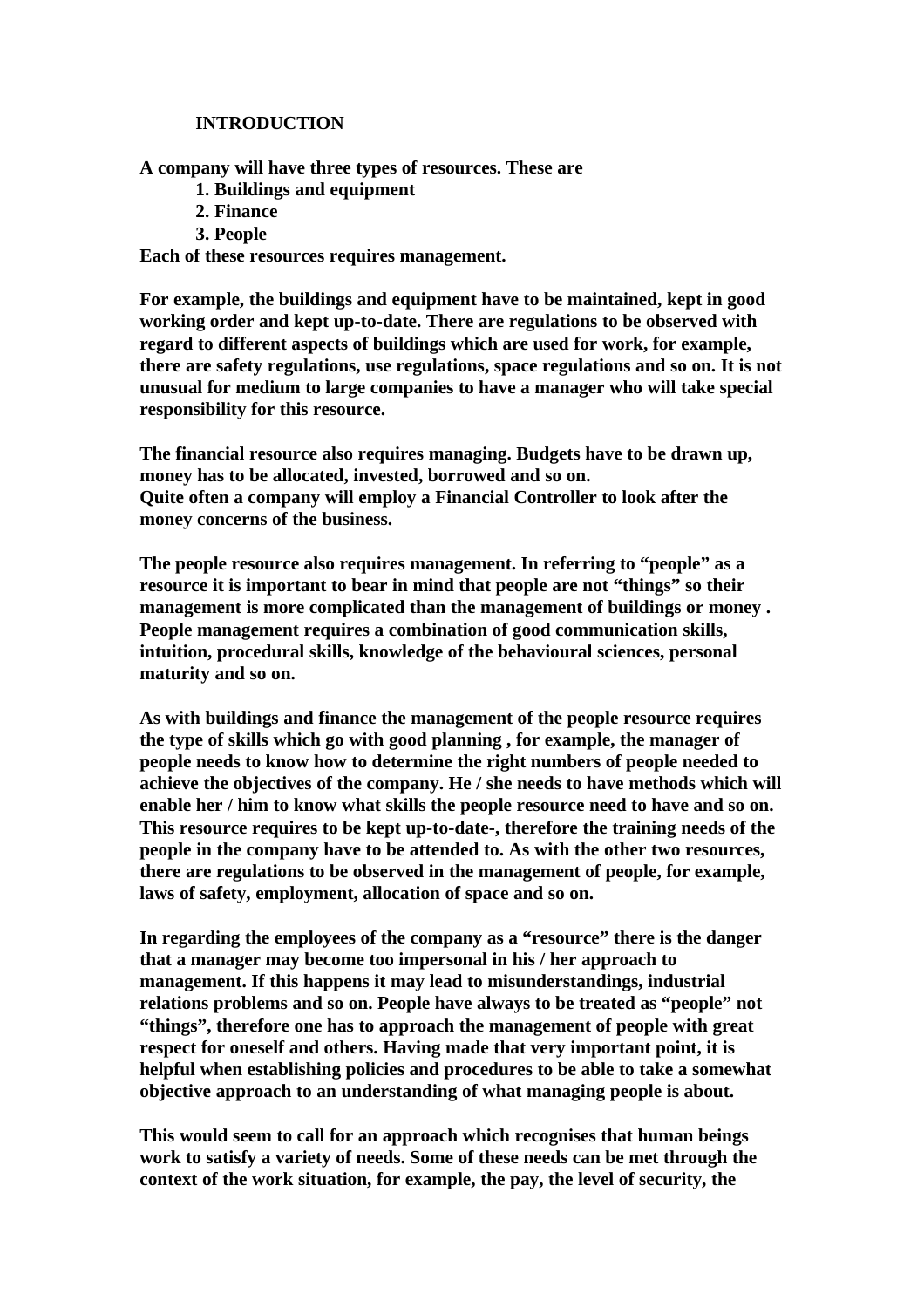## **INTRODUCTION**

**A company will have three types of resources. These are**

- **1. Buildings and equipment**
- **2. Finance**
- **3. People**

**Each of these resources requires management.** 

**For example, the buildings and equipment have to be maintained, kept in good working order and kept up-to-date. There are regulations to be observed with regard to different aspects of buildings which are used for work, for example, there are safety regulations, use regulations, space regulations and so on. It is not unusual for medium to large companies to have a manager who will take special responsibility for this resource.**

**The financial resource also requires managing. Budgets have to be drawn up, money has to be allocated, invested, borrowed and so on. Quite often a company will employ a Financial Controller to look after the money concerns of the business.**

**The people resource also requires management. In referring to "people" as a resource it is important to bear in mind that people are not "things" so their management is more complicated than the management of buildings or money . People management requires a combination of good communication skills, intuition, procedural skills, knowledge of the behavioural sciences, personal maturity and so on.** 

**As with buildings and finance the management of the people resource requires the type of skills which go with good planning , for example, the manager of people needs to know how to determine the right numbers of people needed to achieve the objectives of the company. He / she needs to have methods which will enable her / him to know what skills the people resource need to have and so on. This resource requires to be kept up-to-date-, therefore the training needs of the people in the company have to be attended to. As with the other two resources, there are regulations to be observed in the management of people, for example, laws of safety, employment, allocation of space and so on.**

**In regarding the employees of the company as a "resource" there is the danger that a manager may become too impersonal in his / her approach to management. If this happens it may lead to misunderstandings, industrial relations problems and so on. People have always to be treated as "people" not "things", therefore one has to approach the management of people with great respect for oneself and others. Having made that very important point, it is helpful when establishing policies and procedures to be able to take a somewhat objective approach to an understanding of what managing people is about.**

**This would seem to call for an approach which recognises that human beings work to satisfy a variety of needs. Some of these needs can be met through the context of the work situation, for example, the pay, the level of security, the**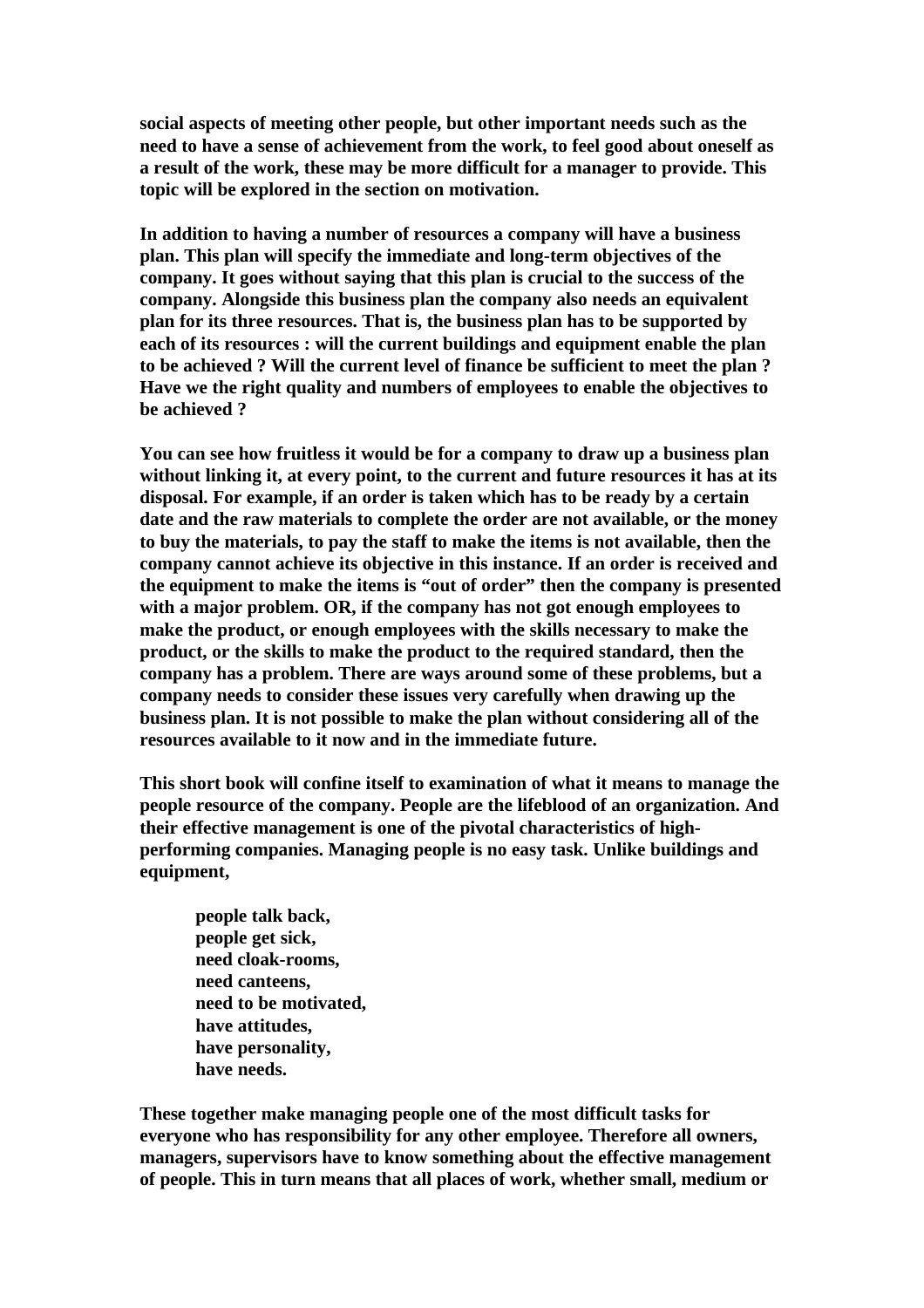**social aspects of meeting other people, but other important needs such as the need to have a sense of achievement from the work, to feel good about oneself as a result of the work, these may be more difficult for a manager to provide. This topic will be explored in the section on motivation.**

**In addition to having a number of resources a company will have a business plan. This plan will specify the immediate and long-term objectives of the company. It goes without saying that this plan is crucial to the success of the company. Alongside this business plan the company also needs an equivalent plan for its three resources. That is, the business plan has to be supported by each of its resources : will the current buildings and equipment enable the plan to be achieved ? Will the current level of finance be sufficient to meet the plan ? Have we the right quality and numbers of employees to enable the objectives to be achieved ?** 

**You can see how fruitless it would be for a company to draw up a business plan without linking it, at every point, to the current and future resources it has at its disposal. For example, if an order is taken which has to be ready by a certain date and the raw materials to complete the order are not available, or the money to buy the materials, to pay the staff to make the items is not available, then the company cannot achieve its objective in this instance. If an order is received and the equipment to make the items is "out of order" then the company is presented with a major problem. OR, if the company has not got enough employees to make the product, or enough employees with the skills necessary to make the product, or the skills to make the product to the required standard, then the company has a problem. There are ways around some of these problems, but a company needs to consider these issues very carefully when drawing up the business plan. It is not possible to make the plan without considering all of the resources available to it now and in the immediate future.**

**This short book will confine itself to examination of what it means to manage the people resource of the company. People are the lifeblood of an organization. And their effective management is one of the pivotal characteristics of highperforming companies. Managing people is no easy task. Unlike buildings and equipment,** 

**people talk back, people get sick, need cloak-rooms, need canteens, need to be motivated, have attitudes, have personality, have needs.** 

**These together make managing people one of the most difficult tasks for everyone who has responsibility for any other employee. Therefore all owners, managers, supervisors have to know something about the effective management of people. This in turn means that all places of work, whether small, medium or**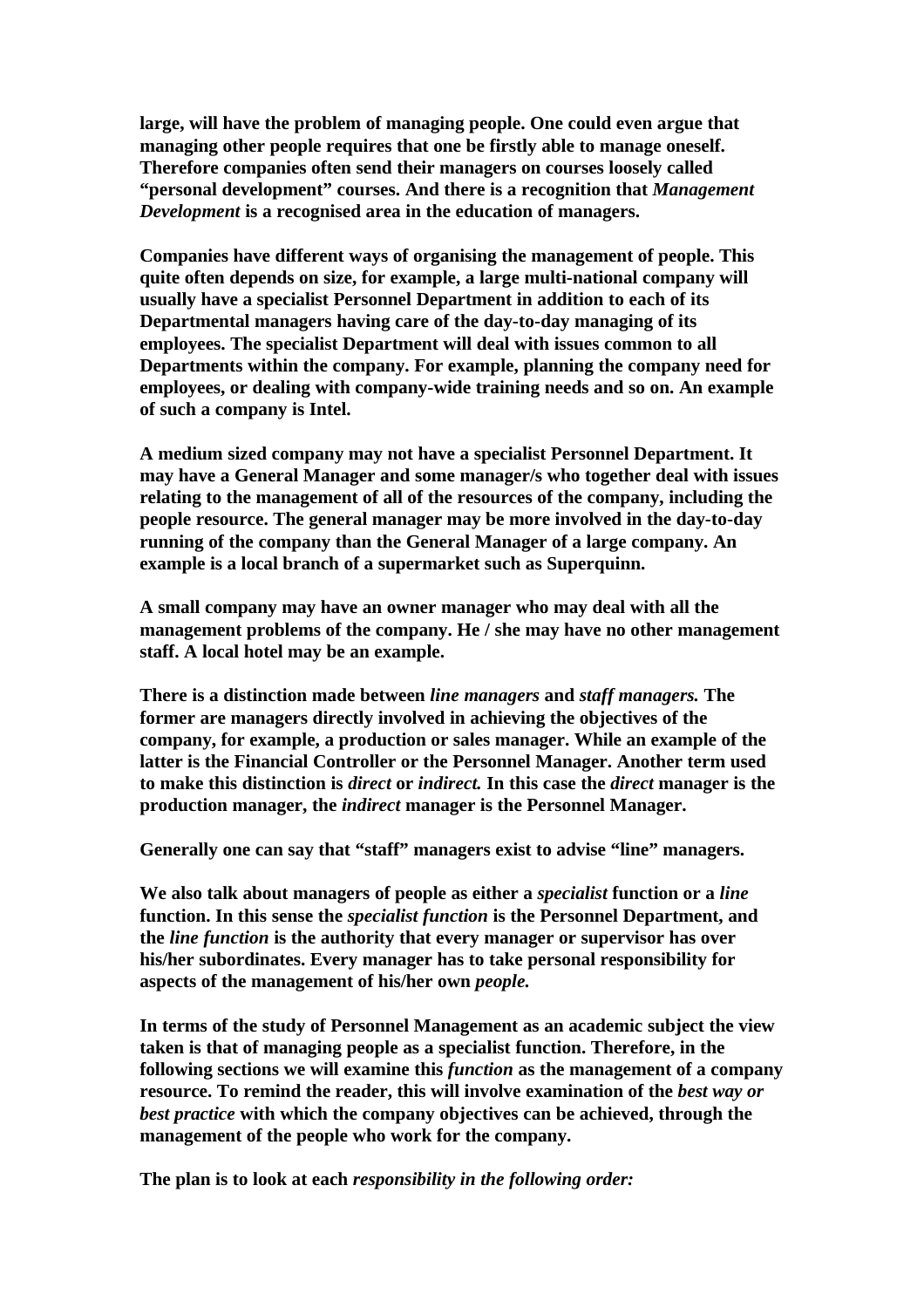**large, will have the problem of managing people. One could even argue that managing other people requires that one be firstly able to manage oneself. Therefore companies often send their managers on courses loosely called "personal development" courses. And there is a recognition that** *Management Development* **is a recognised area in the education of managers.**

**Companies have different ways of organising the management of people. This quite often depends on size, for example, a large multi-national company will usually have a specialist Personnel Department in addition to each of its Departmental managers having care of the day-to-day managing of its employees. The specialist Department will deal with issues common to all Departments within the company. For example, planning the company need for employees, or dealing with company-wide training needs and so on. An example of such a company is Intel.**

**A medium sized company may not have a specialist Personnel Department. It may have a General Manager and some manager/s who together deal with issues relating to the management of all of the resources of the company, including the people resource. The general manager may be more involved in the day-to-day running of the company than the General Manager of a large company. An example is a local branch of a supermarket such as Superquinn.**

**A small company may have an owner manager who may deal with all the management problems of the company. He / she may have no other management staff. A local hotel may be an example.**

**There is a distinction made between** *line managers* **and** *staff managers.* **The former are managers directly involved in achieving the objectives of the company, for example, a production or sales manager. While an example of the latter is the Financial Controller or the Personnel Manager. Another term used to make this distinction is** *direct* **or** *indirect.* **In this case the** *direct* **manager is the production manager, the** *indirect* **manager is the Personnel Manager.**

**Generally one can say that "staff" managers exist to advise "line" managers.**

**We also talk about managers of people as either a** *specialist* **function or a** *line* **function. In this sense the** *specialist function* **is the Personnel Department, and the** *line function* **is the authority that every manager or supervisor has over his/her subordinates. Every manager has to take personal responsibility for aspects of the management of his/her own** *people.*

**In terms of the study of Personnel Management as an academic subject the view taken is that of managing people as a specialist function. Therefore, in the following sections we will examine this** *function* **as the management of a company resource. To remind the reader, this will involve examination of the** *best way or best practice* **with which the company objectives can be achieved, through the management of the people who work for the company.**

**The plan is to look at each** *responsibility in the following order:*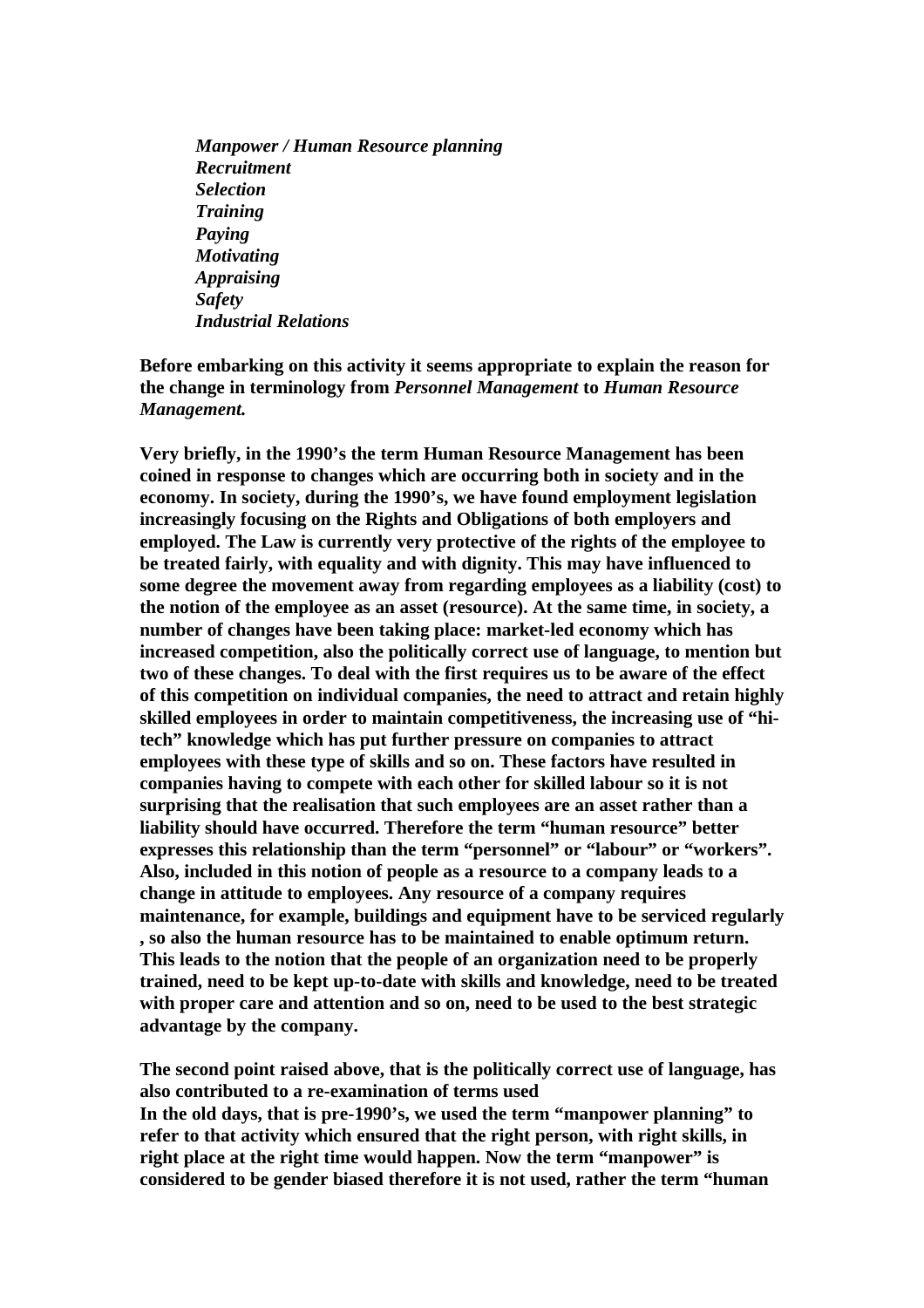*Manpower / Human Resource planning Recruitment Selection Training Paying Motivating Appraising Safety Industrial Relations*

**Before embarking on this activity it seems appropriate to explain the reason for the change in terminology from** *Personnel Management* **to** *Human Resource Management.*

**Very briefly, in the 1990's the term Human Resource Management has been coined in response to changes which are occurring both in society and in the economy. In society, during the 1990's, we have found employment legislation increasingly focusing on the Rights and Obligations of both employers and employed. The Law is currently very protective of the rights of the employee to be treated fairly, with equality and with dignity. This may have influenced to some degree the movement away from regarding employees as a liability (cost) to the notion of the employee as an asset (resource). At the same time, in society, a number of changes have been taking place: market-led economy which has increased competition, also the politically correct use of language, to mention but two of these changes. To deal with the first requires us to be aware of the effect of this competition on individual companies, the need to attract and retain highly skilled employees in order to maintain competitiveness, the increasing use of "hitech" knowledge which has put further pressure on companies to attract employees with these type of skills and so on. These factors have resulted in companies having to compete with each other for skilled labour so it is not surprising that the realisation that such employees are an asset rather than a liability should have occurred. Therefore the term "human resource" better expresses this relationship than the term "personnel" or "labour" or "workers". Also, included in this notion of people as a resource to a company leads to a change in attitude to employees. Any resource of a company requires maintenance, for example, buildings and equipment have to be serviced regularly , so also the human resource has to be maintained to enable optimum return. This leads to the notion that the people of an organization need to be properly trained, need to be kept up-to-date with skills and knowledge, need to be treated with proper care and attention and so on, need to be used to the best strategic advantage by the company.**

**The second point raised above, that is the politically correct use of language, has also contributed to a re-examination of terms used In the old days, that is pre-1990's, we used the term "manpower planning" to refer to that activity which ensured that the right person, with right skills, in right place at the right time would happen. Now the term "manpower" is considered to be gender biased therefore it is not used, rather the term "human**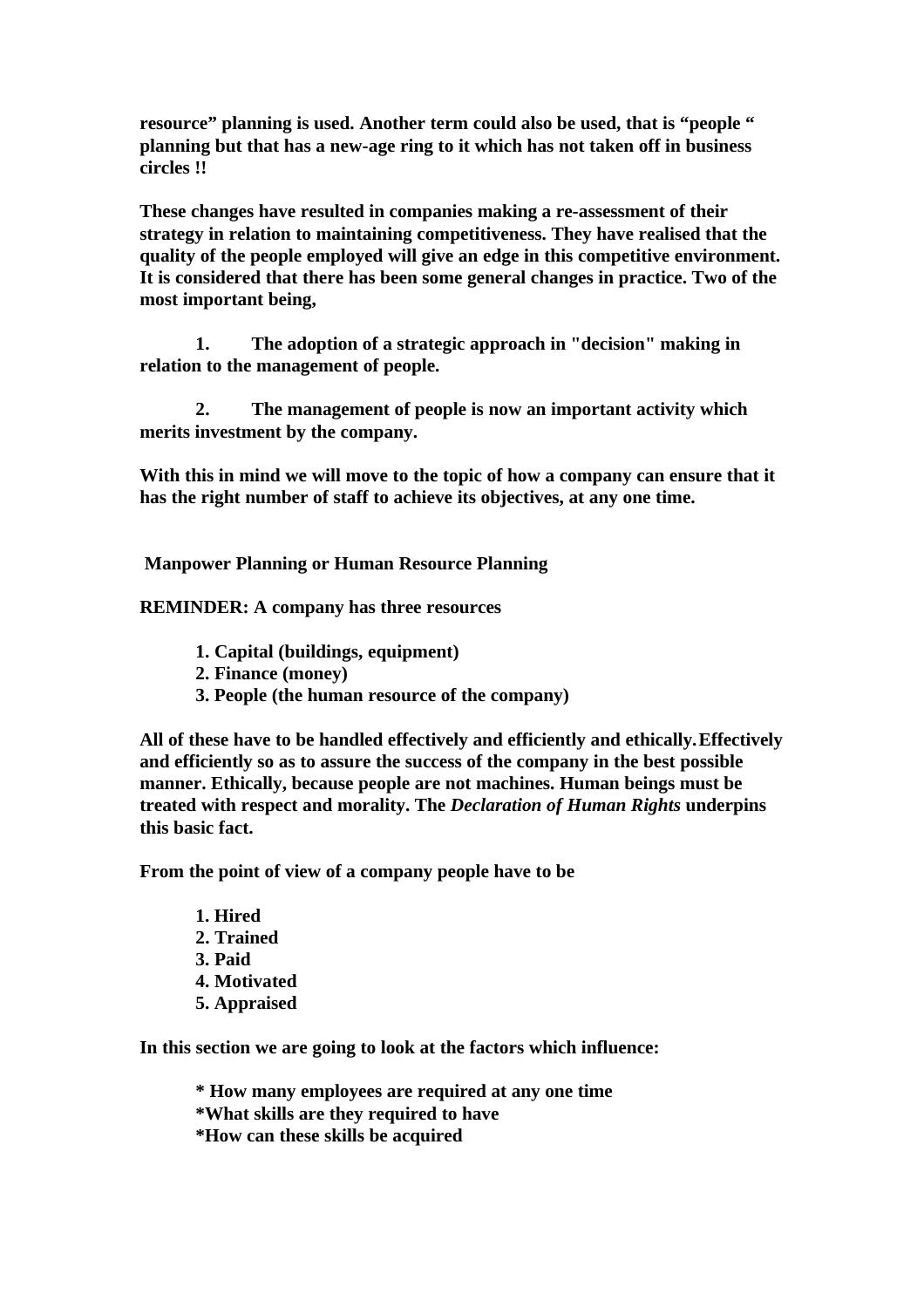**resource" planning is used. Another term could also be used, that is "people " planning but that has a new-age ring to it which has not taken off in business circles !!**

**These changes have resulted in companies making a re-assessment of their strategy in relation to maintaining competitiveness. They have realised that the quality of the people employed will give an edge in this competitive environment. It is considered that there has been some general changes in practice. Two of the most important being,**

**1. The adoption of a strategic approach in "decision" making in relation to the management of people.**

**2. The management of people is now an important activity which merits investment by the company.**

**With this in mind we will move to the topic of how a company can ensure that it has the right number of staff to achieve its objectives, at any one time.**

 **Manpower Planning or Human Resource Planning**

**REMINDER: A company has three resources**

- **1. Capital (buildings, equipment)**
- **2. Finance (money)**
- **3. People (the human resource of the company)**

**All of these have to be handled effectively and efficiently and ethically.Effectively and efficiently so as to assure the success of the company in the best possible manner. Ethically, because people are not machines. Human beings must be treated with respect and morality. The** *Declaration of Human Rights* **underpins this basic fact.**

**From the point of view of a company people have to be**

**1. Hired 2. Trained 3. Paid 4. Motivated 5. Appraised**

**In this section we are going to look at the factors which influence:**

**\* How many employees are required at any one time**

**\*What skills are they required to have**

**\*How can these skills be acquired**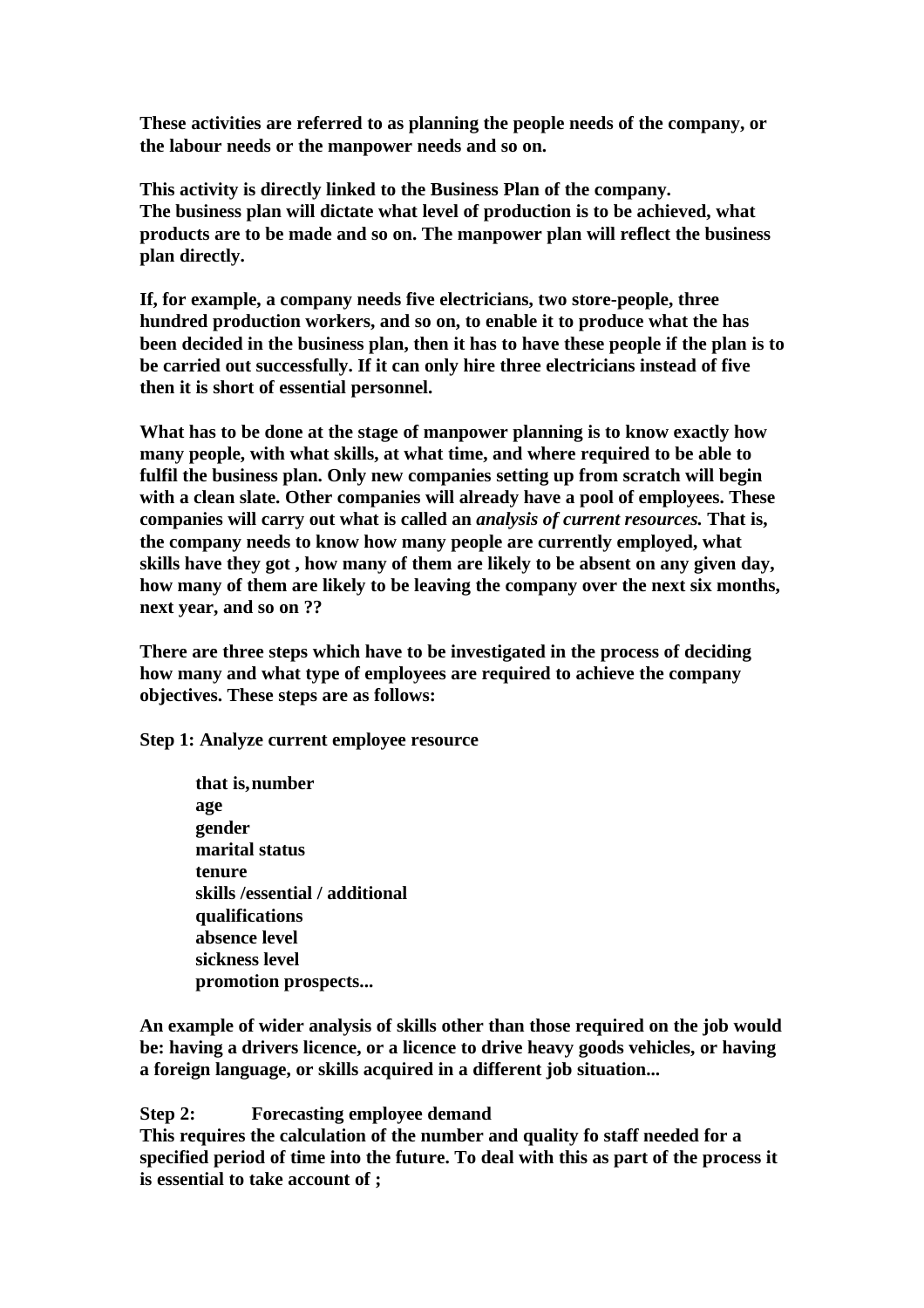**These activities are referred to as planning the people needs of the company, or the labour needs or the manpower needs and so on.**

**This activity is directly linked to the Business Plan of the company. The business plan will dictate what level of production is to be achieved, what products are to be made and so on. The manpower plan will reflect the business plan directly.** 

**If, for example, a company needs five electricians, two store-people, three hundred production workers, and so on, to enable it to produce what the has been decided in the business plan, then it has to have these people if the plan is to be carried out successfully. If it can only hire three electricians instead of five then it is short of essential personnel.** 

**What has to be done at the stage of manpower planning is to know exactly how many people, with what skills, at what time, and where required to be able to fulfil the business plan. Only new companies setting up from scratch will begin with a clean slate. Other companies will already have a pool of employees. These companies will carry out what is called an** *analysis of current resources.* **That is, the company needs to know how many people are currently employed, what skills have they got , how many of them are likely to be absent on any given day, how many of them are likely to be leaving the company over the next six months, next year, and so on ??**

**There are three steps which have to be investigated in the process of deciding how many and what type of employees are required to achieve the company objectives. These steps are as follows:**

**Step 1: Analyze current employee resource**

**that is,number age gender marital status tenure skills /essential / additional qualifications absence level sickness level promotion prospects...**

**An example of wider analysis of skills other than those required on the job would be: having a drivers licence, or a licence to drive heavy goods vehicles, or having a foreign language, or skills acquired in a different job situation...**

**Step 2: Forecasting employee demand**

**This requires the calculation of the number and quality fo staff needed for a specified period of time into the future. To deal with this as part of the process it is essential to take account of ;**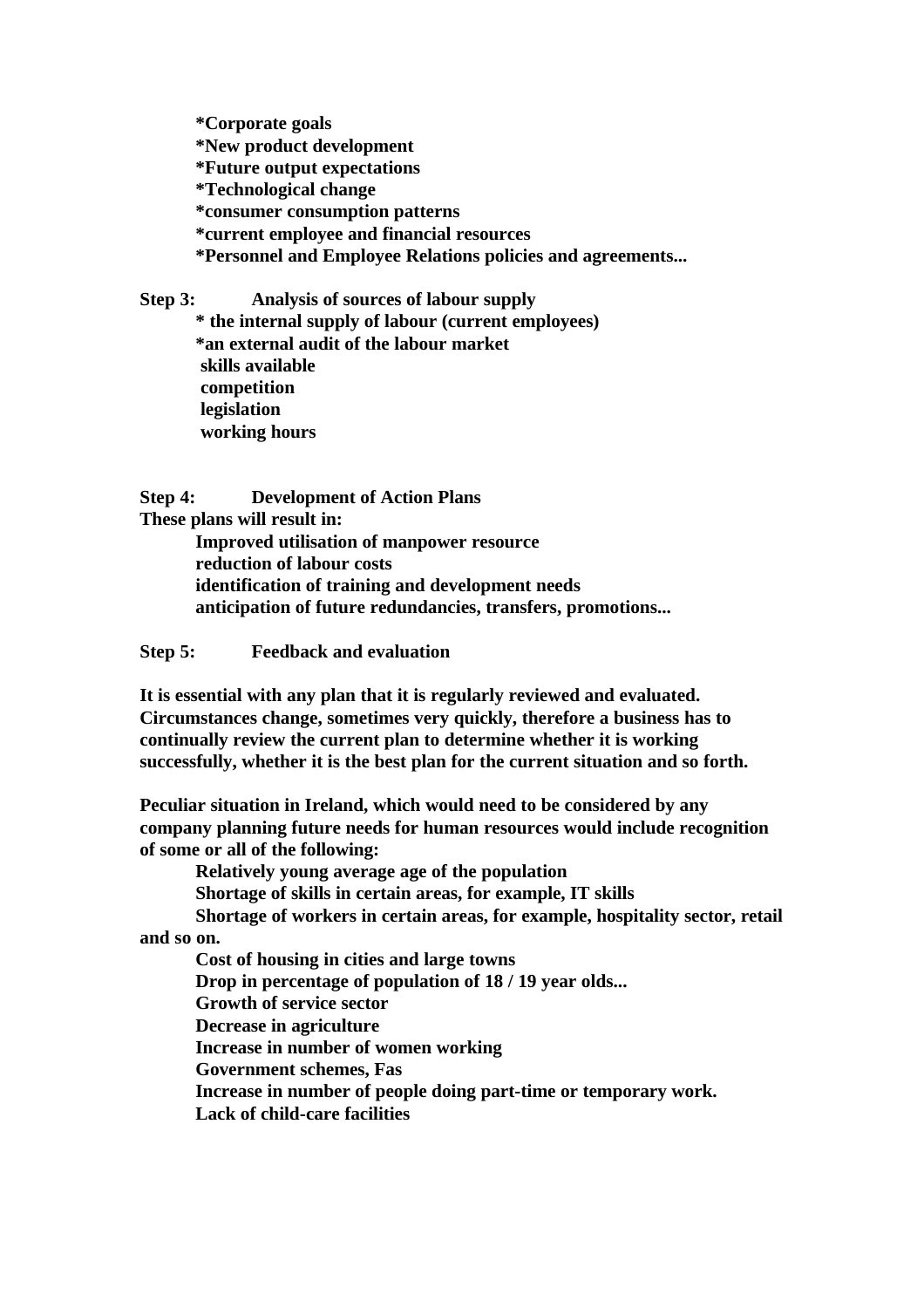**\*Corporate goals \*New product development \*Future output expectations \*Technological change \*consumer consumption patterns \*current employee and financial resources \*Personnel and Employee Relations policies and agreements...**

**Step 3: Analysis of sources of labour supply \* the internal supply of labour (current employees) \*an external audit of the labour market skills available competition legislation working hours** 

**Step 4: Development of Action Plans These plans will result in: Improved utilisation of manpower resource reduction of labour costs identification of training and development needs anticipation of future redundancies, transfers, promotions...**

**Step 5: Feedback and evaluation**

**It is essential with any plan that it is regularly reviewed and evaluated. Circumstances change, sometimes very quickly, therefore a business has to continually review the current plan to determine whether it is working successfully, whether it is the best plan for the current situation and so forth.**

**Peculiar situation in Ireland, which would need to be considered by any company planning future needs for human resources would include recognition of some or all of the following:**

**Relatively young average age of the population**

**Shortage of skills in certain areas, for example, IT skills**

**Shortage of workers in certain areas, for example, hospitality sector, retail** 

**and so on.**

**Cost of housing in cities and large towns Drop in percentage of population of 18 / 19 year olds... Growth of service sector Decrease in agriculture Increase in number of women working Government schemes, Fas Increase in number of people doing part-time or temporary work. Lack of child-care facilities**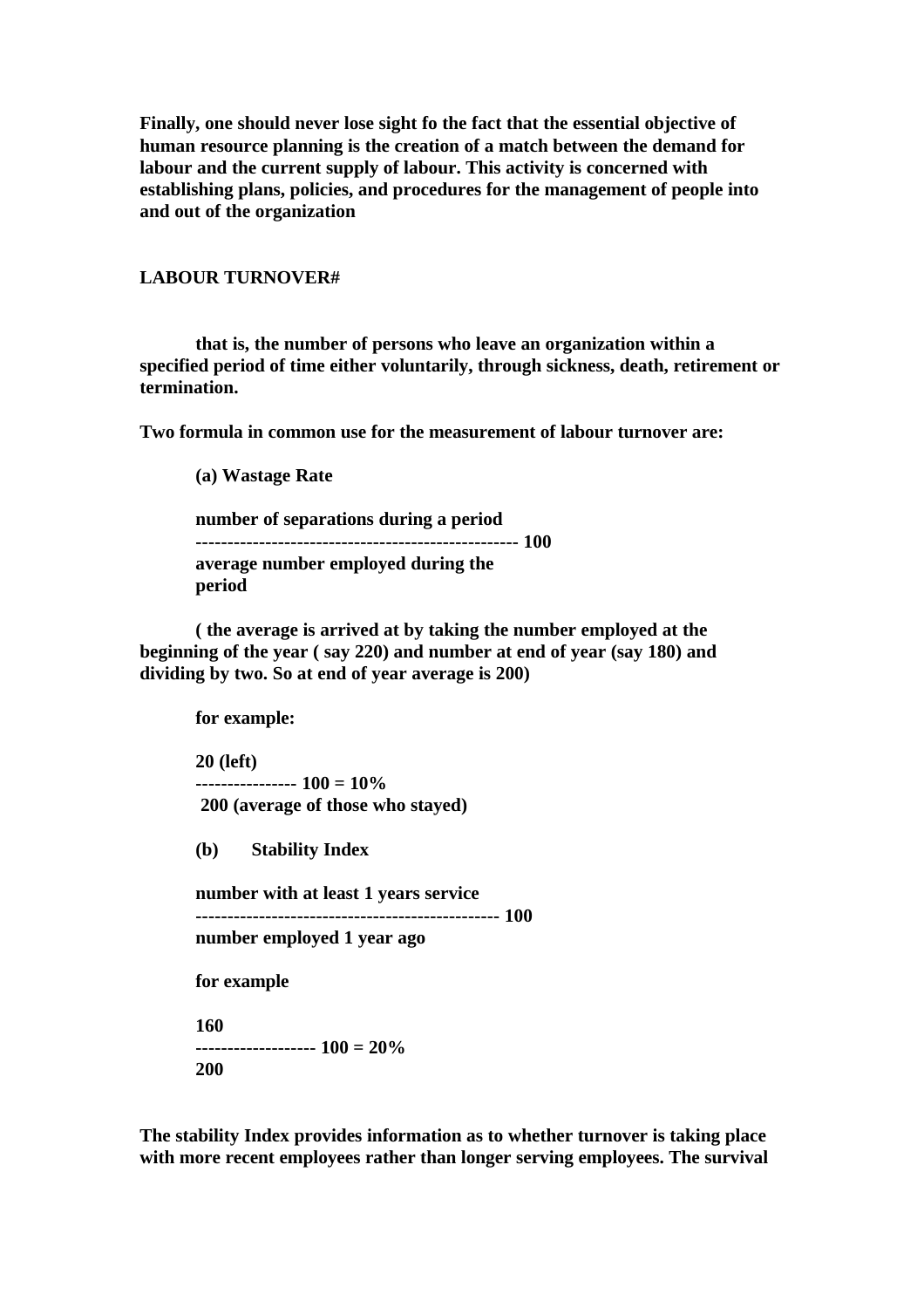**Finally, one should never lose sight fo the fact that the essential objective of human resource planning is the creation of a match between the demand for labour and the current supply of labour. This activity is concerned with establishing plans, policies, and procedures for the management of people into and out of the organization**

### **LABOUR TURNOVER#**

**that is, the number of persons who leave an organization within a specified period of time either voluntarily, through sickness, death, retirement or termination.**

**Two formula in common use for the measurement of labour turnover are:**

**(a) Wastage Rate**

**number of separations during a period --------------------------------------------------- 100 average number employed during the period**

**( the average is arrived at by taking the number employed at the beginning of the year ( say 220) and number at end of year (say 180) and dividing by two. So at end of year average is 200)**

**for example:**

**20 (left) ---------------- 100 = 10% 200 (average of those who stayed)**

**(b) Stability Index**

**number with at least 1 years service ------------------------------------------------ 100 number employed 1 year ago**

**for example**

**160 ------------------- 100 = 20% 200**

**The stability Index provides information as to whether turnover is taking place with more recent employees rather than longer serving employees. The survival**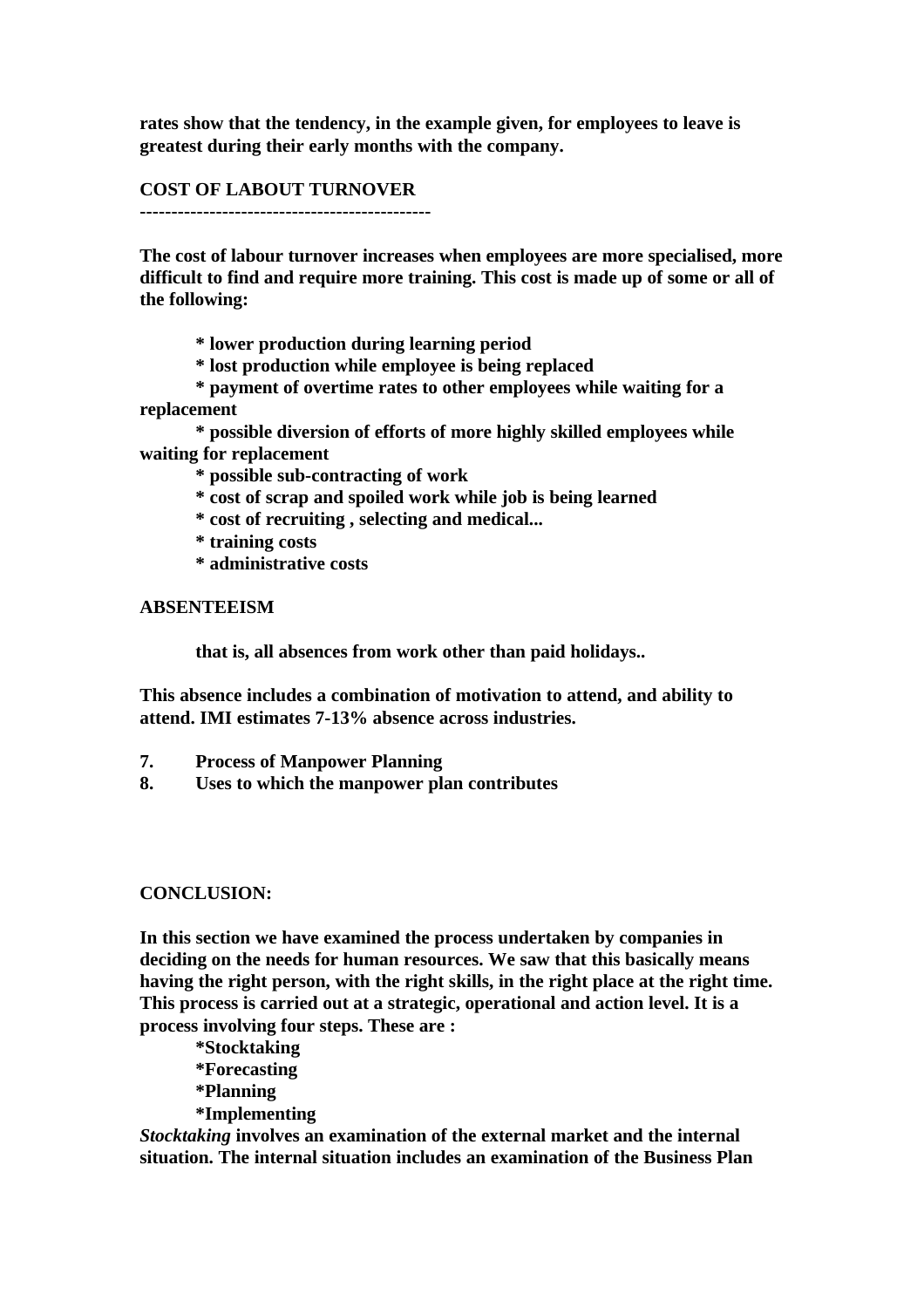**rates show that the tendency, in the example given, for employees to leave is greatest during their early months with the company.**

### **COST OF LABOUT TURNOVER**

**----------------------------------------------**

**The cost of labour turnover increases when employees are more specialised, more difficult to find and require more training. This cost is made up of some or all of the following:**

**\* lower production during learning period**

**\* lost production while employee is being replaced**

**\* payment of overtime rates to other employees while waiting for a replacement**

**\* possible diversion of efforts of more highly skilled employees while waiting for replacement**

**\* possible sub-contracting of work**

**\* cost of scrap and spoiled work while job is being learned**

**\* cost of recruiting , selecting and medical...**

**\* training costs**

**\* administrative costs**

## **ABSENTEEISM**

**that is, all absences from work other than paid holidays..**

**This absence includes a combination of motivation to attend, and ability to attend. IMI estimates 7-13% absence across industries.**

- **7. Process of Manpower Planning**
- **8. Uses to which the manpower plan contributes**

#### **CONCLUSION:**

**In this section we have examined the process undertaken by companies in deciding on the needs for human resources. We saw that this basically means having the right person, with the right skills, in the right place at the right time. This process is carried out at a strategic, operational and action level. It is a process involving four steps. These are :**

**\*Stocktaking \*Forecasting \*Planning \*Implementing**

*Stocktaking* **involves an examination of the external market and the internal situation. The internal situation includes an examination of the Business Plan**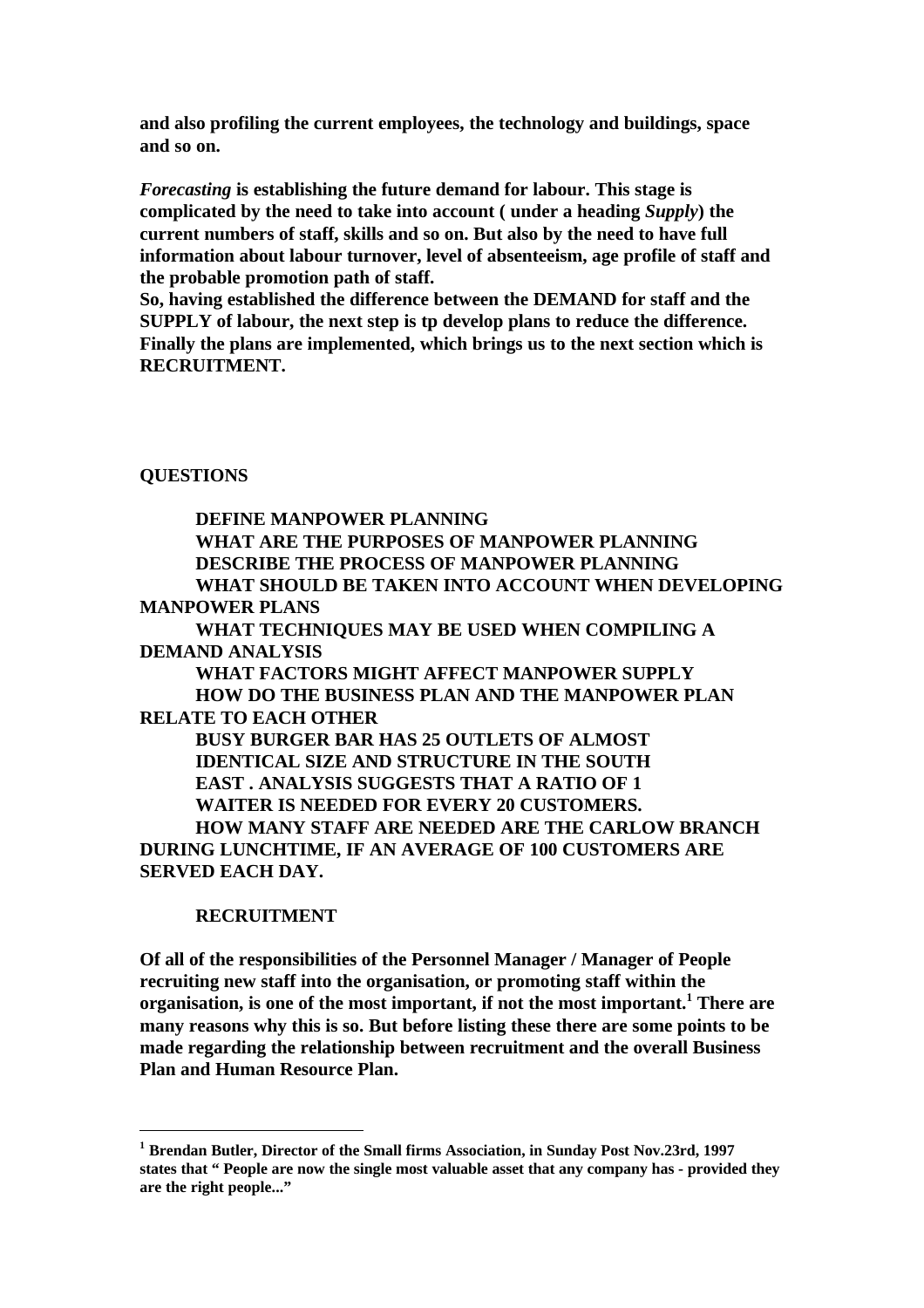**and also profiling the current employees, the technology and buildings, space and so on.**

*Forecasting* **is establishing the future demand for labour. This stage is complicated by the need to take into account ( under a heading** *Supply***) the current numbers of staff, skills and so on. But also by the need to have full information about labour turnover, level of absenteeism, age profile of staff and the probable promotion path of staff.** 

**So, having established the difference between the DEMAND for staff and the SUPPLY of labour, the next step is tp develop plans to reduce the difference. Finally the plans are implemented, which brings us to the next section which is RECRUITMENT.** 

**QUESTIONS**

**DEFINE MANPOWER PLANNING WHAT ARE THE PURPOSES OF MANPOWER PLANNING DESCRIBE THE PROCESS OF MANPOWER PLANNING WHAT SHOULD BE TAKEN INTO ACCOUNT WHEN DEVELOPING MANPOWER PLANS WHAT TECHNIQUES MAY BE USED WHEN COMPILING A DEMAND ANALYSIS WHAT FACTORS MIGHT AFFECT MANPOWER SUPPLY HOW DO THE BUSINESS PLAN AND THE MANPOWER PLAN RELATE TO EACH OTHER BUSY BURGER BAR HAS 25 OUTLETS OF ALMOST IDENTICAL SIZE AND STRUCTURE IN THE SOUTH EAST . ANALYSIS SUGGESTS THAT A RATIO OF 1 WAITER IS NEEDED FOR EVERY 20 CUSTOMERS. HOW MANY STAFF ARE NEEDED ARE THE CARLOW BRANCH DURING LUNCHTIME, IF AN AVERAGE OF 100 CUSTOMERS ARE SERVED EACH DAY.**

### **RECRUITMENT**

**Of all of the responsibilities of the Personnel Manager / Manager of People recruiting new staff into the organisation, or promoting staff within the organisation, is one of the most important, if not the most important.<sup>1</sup> There are many reasons why this is so. But before listing these there are some points to be made regarding the relationship between recruitment and the overall Business Plan and Human Resource Plan.**

**<sup>1</sup> Brendan Butler, Director of the Small firms Association, in Sunday Post Nov.23rd, 1997 states that " People are now the single most valuable asset that any company has - provided they are the right people..."**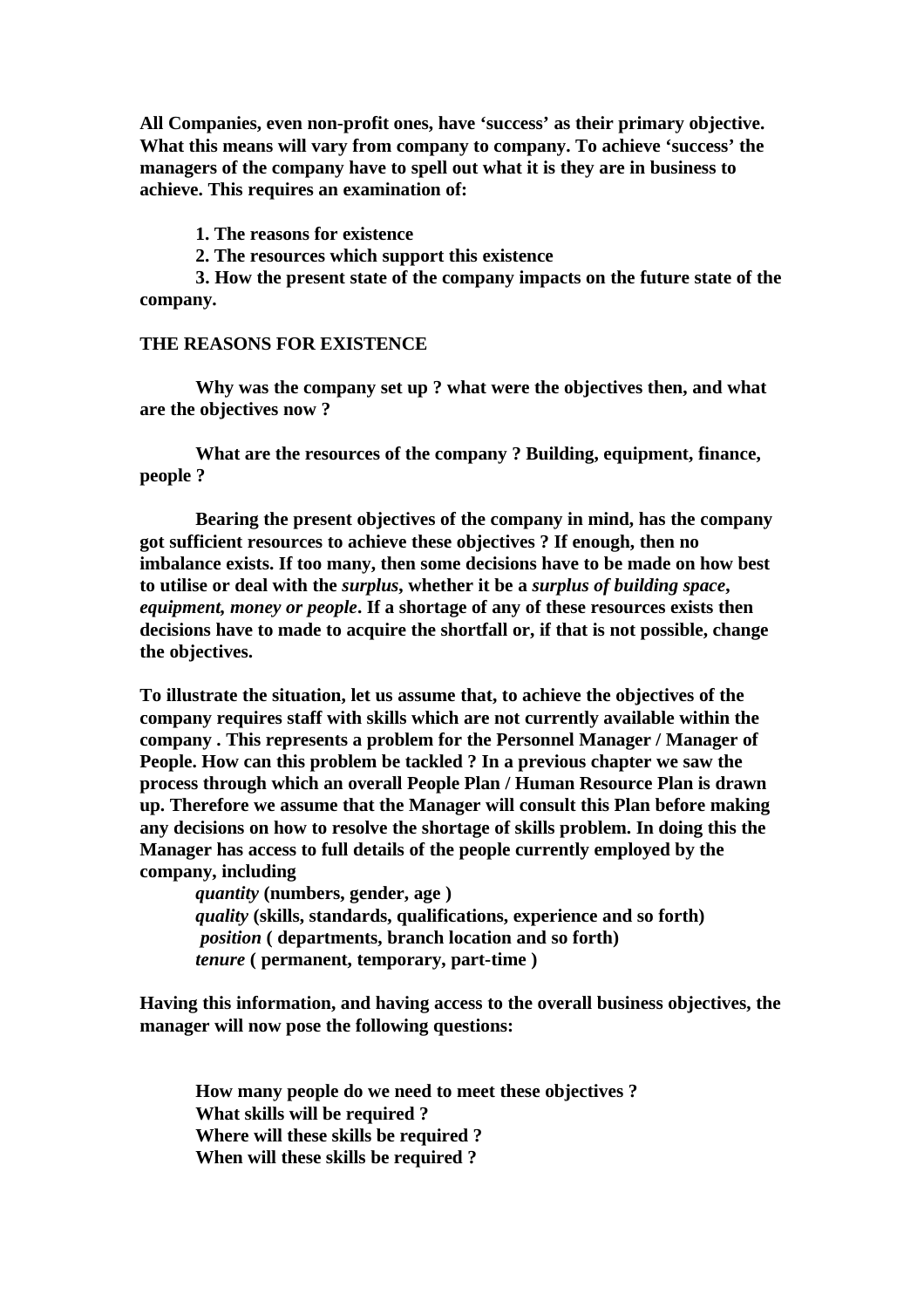**All Companies, even non-profit ones, have 'success' as their primary objective. What this means will vary from company to company. To achieve 'success' the managers of the company have to spell out what it is they are in business to achieve. This requires an examination of:**

**1. The reasons for existence**

**2. The resources which support this existence**

**3. How the present state of the company impacts on the future state of the company.**

#### **THE REASONS FOR EXISTENCE**

**Why was the company set up ? what were the objectives then, and what are the objectives now ?** 

**What are the resources of the company ? Building, equipment, finance, people ?**

**Bearing the present objectives of the company in mind, has the company got sufficient resources to achieve these objectives ? If enough, then no imbalance exists. If too many, then some decisions have to be made on how best to utilise or deal with the** *surplus***, whether it be a** *surplus of building space***,**  *equipment, money or people***. If a shortage of any of these resources exists then decisions have to made to acquire the shortfall or, if that is not possible, change the objectives.**

**To illustrate the situation, let us assume that, to achieve the objectives of the company requires staff with skills which are not currently available within the company . This represents a problem for the Personnel Manager / Manager of People. How can this problem be tackled ? In a previous chapter we saw the process through which an overall People Plan / Human Resource Plan is drawn up. Therefore we assume that the Manager will consult this Plan before making any decisions on how to resolve the shortage of skills problem. In doing this the Manager has access to full details of the people currently employed by the company, including**

*quantity* **(numbers, gender, age )** *quality* **(skills, standards, qualifications, experience and so forth)** *position* **( departments, branch location and so forth)** *tenure* **( permanent, temporary, part-time )**

**Having this information, and having access to the overall business objectives, the manager will now pose the following questions:**

**How many people do we need to meet these objectives ? What skills will be required ? Where will these skills be required ? When will these skills be required ?**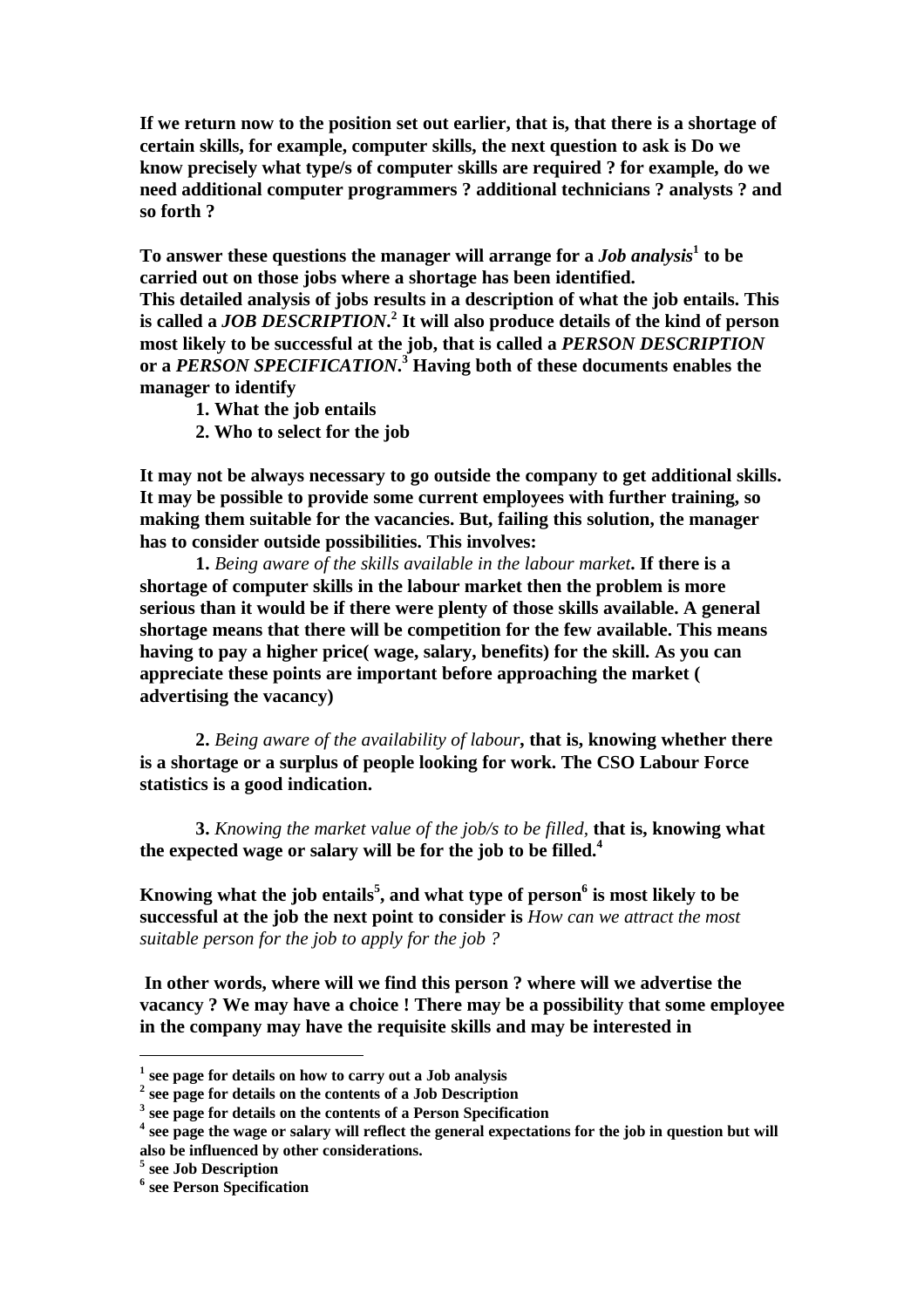**If we return now to the position set out earlier, that is, that there is a shortage of certain skills, for example, computer skills, the next question to ask is Do we know precisely what type/s of computer skills are required ? for example, do we need additional computer programmers ? additional technicians ? analysts ? and so forth ?**

**To answer these questions the manager will arrange for a** *Job analysis***<sup>1</sup> to be carried out on those jobs where a shortage has been identified. This detailed analysis of jobs results in a description of what the job entails. This is called a** *JOB DESCRIPTION***. 2 It will also produce details of the kind of person most likely to be successful at the job, that is called a** *PERSON DESCRIPTION* **or a** *PERSON SPECIFICATION***. 3 Having both of these documents enables the manager to identify** 

- **1. What the job entails**
- **2. Who to select for the job**

**It may not be always necessary to go outside the company to get additional skills. It may be possible to provide some current employees with further training, so making them suitable for the vacancies. But, failing this solution, the manager has to consider outside possibilities. This involves:**

**1.** *Being aware of the skills available in the labour market***. If there is a shortage of computer skills in the labour market then the problem is more serious than it would be if there were plenty of those skills available. A general shortage means that there will be competition for the few available. This means having to pay a higher price( wage, salary, benefits) for the skill. As you can appreciate these points are important before approaching the market ( advertising the vacancy)**

**2.** *Being aware of the availability of labour***, that is, knowing whether there is a shortage or a surplus of people looking for work. The CSO Labour Force statistics is a good indication.**

**3.** *Knowing the market value of the job/s to be filled,* **that is, knowing what the expected wage or salary will be for the job to be filled.<sup>4</sup>**

**Knowing what the job entails<sup>5</sup> , and what type of person<sup>6</sup> is most likely to be successful at the job the next point to consider is** *How can we attract the most suitable person for the job to apply for the job ?*

 **In other words, where will we find this person ? where will we advertise the vacancy ? We may have a choice ! There may be a possibility that some employee in the company may have the requisite skills and may be interested in** 

**<sup>1</sup> see page for details on how to carry out a Job analysis**

**<sup>2</sup> see page for details on the contents of a Job Description**

**<sup>3</sup> see page for details on the contents of a Person Specification**

<sup>&</sup>lt;sup>4</sup> see page the wage or salary will reflect the general expectations for the job in question but will **also be influenced by other considerations.**

**<sup>5</sup> see Job Description**

**<sup>6</sup> see Person Specification**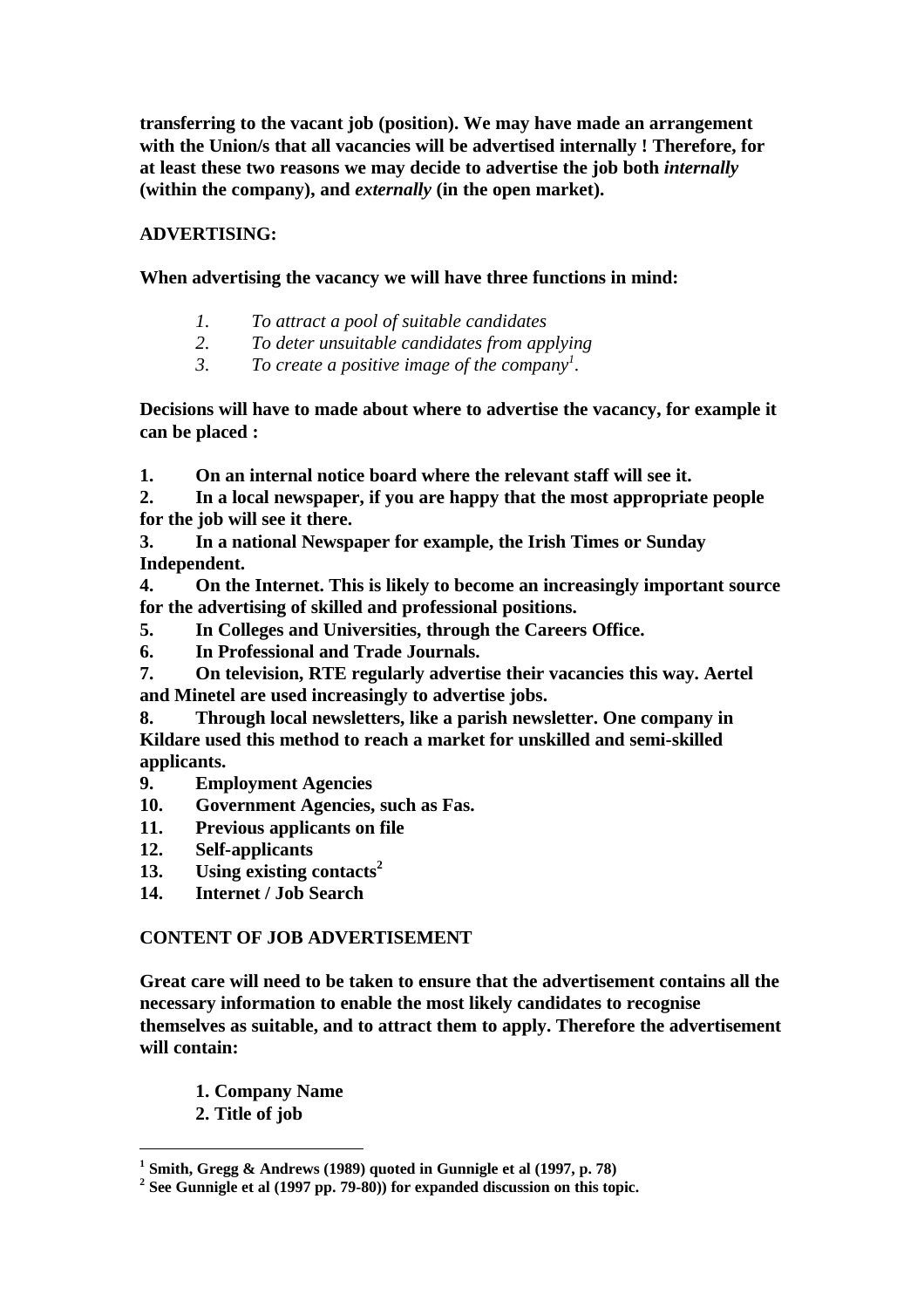**transferring to the vacant job (position). We may have made an arrangement with the Union/s that all vacancies will be advertised internally ! Therefore, for at least these two reasons we may decide to advertise the job both** *internally*  **(within the company), and** *externally* **(in the open market).**

# **ADVERTISING:**

# **When advertising the vacancy we will have three functions in mind:**

- *1. To attract a pool of suitable candidates*
- *2. To deter unsuitable candidates from applying*
- *3. To create a positive image of the company<sup>1</sup> .*

**Decisions will have to made about where to advertise the vacancy, for example it can be placed :**

**1. On an internal notice board where the relevant staff will see it.**

**2. In a local newspaper, if you are happy that the most appropriate people for the job will see it there.**

**3. In a national Newspaper for example, the Irish Times or Sunday Independent.**

**4. On the Internet. This is likely to become an increasingly important source for the advertising of skilled and professional positions.**

**5. In Colleges and Universities, through the Careers Office.**

**6. In Professional and Trade Journals.**

**7. On television, RTE regularly advertise their vacancies this way. Aertel and Minetel are used increasingly to advertise jobs.**

**8. Through local newsletters, like a parish newsletter. One company in Kildare used this method to reach a market for unskilled and semi-skilled applicants.**

- **9. Employment Agencies**
- **10. Government Agencies, such as Fas.**
- **11. Previous applicants on file**
- **12. Self-applicants**
- **13. Using existing contacts<sup>2</sup>**
- **14. Internet / Job Search**

## **CONTENT OF JOB ADVERTISEMENT**

**Great care will need to be taken to ensure that the advertisement contains all the necessary information to enable the most likely candidates to recognise themselves as suitable, and to attract them to apply. Therefore the advertisement will contain:**

- **1. Company Name**
- **2. Title of job**

**<sup>1</sup> Smith, Gregg & Andrews (1989) quoted in Gunnigle et al (1997, p. 78)**

**<sup>2</sup> See Gunnigle et al (1997 pp. 79-80)) for expanded discussion on this topic.**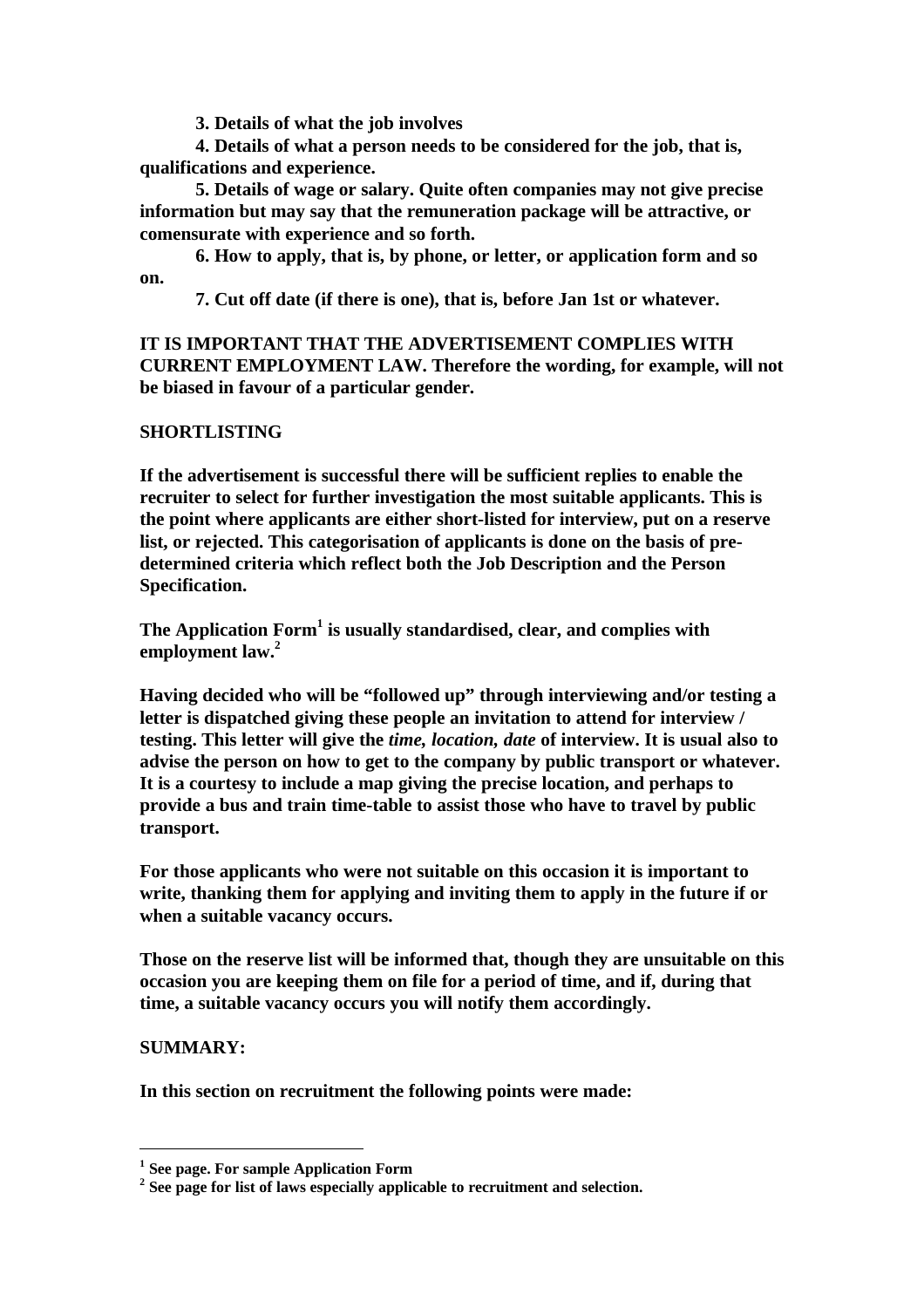**3. Details of what the job involves**

**4. Details of what a person needs to be considered for the job, that is, qualifications and experience.**

**5. Details of wage or salary. Quite often companies may not give precise information but may say that the remuneration package will be attractive, or comensurate with experience and so forth.**

**6. How to apply, that is, by phone, or letter, or application form and so on.**

**7. Cut off date (if there is one), that is, before Jan 1st or whatever.**

**IT IS IMPORTANT THAT THE ADVERTISEMENT COMPLIES WITH CURRENT EMPLOYMENT LAW. Therefore the wording, for example, will not be biased in favour of a particular gender.**

### **SHORTLISTING**

**If the advertisement is successful there will be sufficient replies to enable the recruiter to select for further investigation the most suitable applicants. This is the point where applicants are either short-listed for interview, put on a reserve list, or rejected. This categorisation of applicants is done on the basis of predetermined criteria which reflect both the Job Description and the Person Specification.** 

**The Application Form<sup>1</sup> is usually standardised, clear, and complies with employment law.<sup>2</sup>**

**Having decided who will be "followed up" through interviewing and/or testing a letter is dispatched giving these people an invitation to attend for interview / testing. This letter will give the** *time, location, date* **of interview. It is usual also to advise the person on how to get to the company by public transport or whatever. It is a courtesy to include a map giving the precise location, and perhaps to provide a bus and train time-table to assist those who have to travel by public transport.**

**For those applicants who were not suitable on this occasion it is important to write, thanking them for applying and inviting them to apply in the future if or when a suitable vacancy occurs.**

**Those on the reserve list will be informed that, though they are unsuitable on this occasion you are keeping them on file for a period of time, and if, during that time, a suitable vacancy occurs you will notify them accordingly.**

## **SUMMARY:**

**In this section on recruitment the following points were made:**

**<sup>1</sup> See page. For sample Application Form**

**<sup>2</sup> See page for list of laws especially applicable to recruitment and selection.**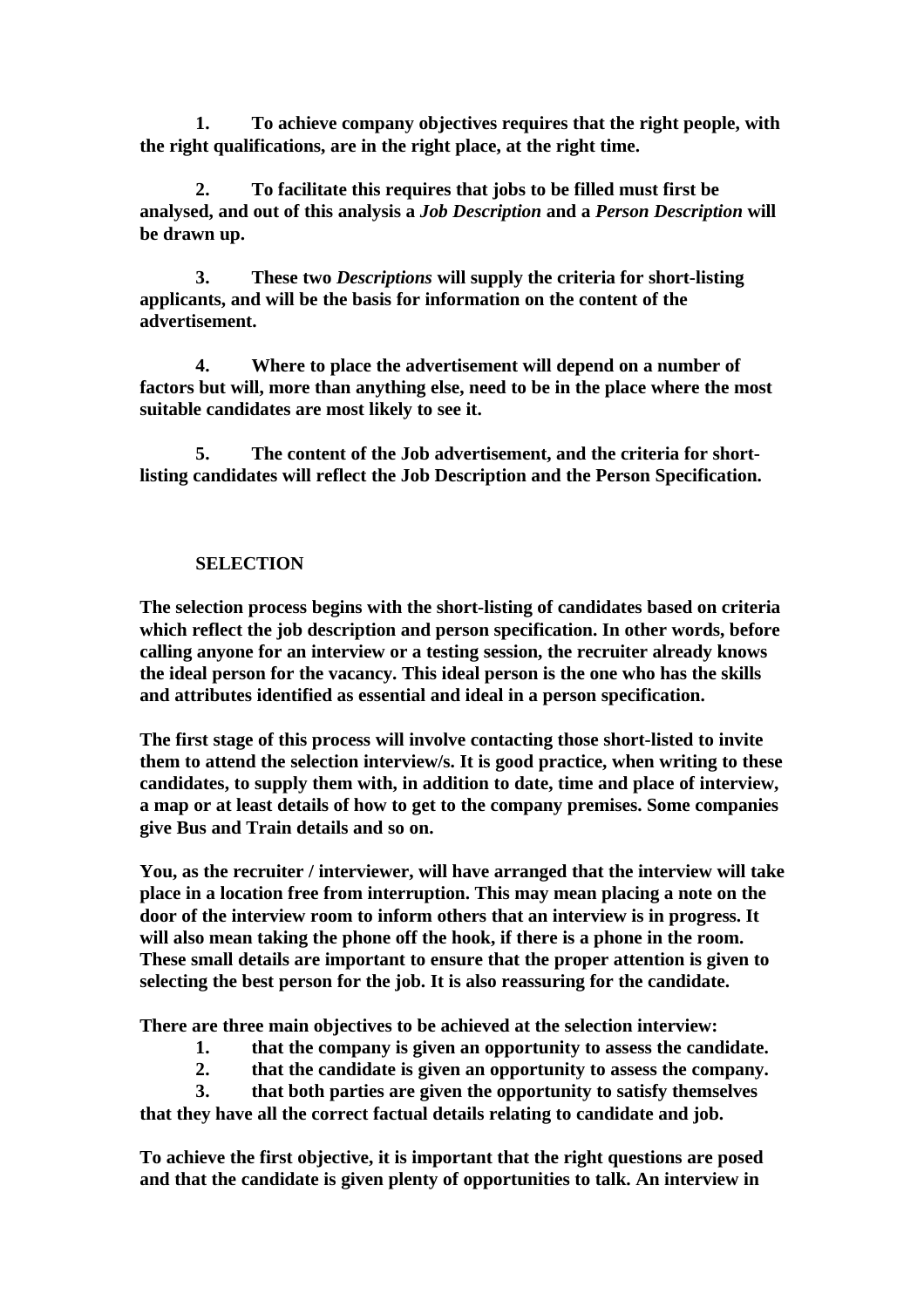**1. To achieve company objectives requires that the right people, with the right qualifications, are in the right place, at the right time.**

**2. To facilitate this requires that jobs to be filled must first be analysed, and out of this analysis a** *Job Description* **and a** *Person Description* **will be drawn up.**

**3. These two** *Descriptions* **will supply the criteria for short-listing applicants, and will be the basis for information on the content of the advertisement.**

**4. Where to place the advertisement will depend on a number of factors but will, more than anything else, need to be in the place where the most suitable candidates are most likely to see it.**

**5. The content of the Job advertisement, and the criteria for shortlisting candidates will reflect the Job Description and the Person Specification.**

## **SELECTION**

**The selection process begins with the short-listing of candidates based on criteria which reflect the job description and person specification. In other words, before calling anyone for an interview or a testing session, the recruiter already knows the ideal person for the vacancy. This ideal person is the one who has the skills and attributes identified as essential and ideal in a person specification.** 

**The first stage of this process will involve contacting those short-listed to invite them to attend the selection interview/s. It is good practice, when writing to these candidates, to supply them with, in addition to date, time and place of interview, a map or at least details of how to get to the company premises. Some companies give Bus and Train details and so on.**

**You, as the recruiter / interviewer, will have arranged that the interview will take place in a location free from interruption. This may mean placing a note on the door of the interview room to inform others that an interview is in progress. It will also mean taking the phone off the hook, if there is a phone in the room. These small details are important to ensure that the proper attention is given to selecting the best person for the job. It is also reassuring for the candidate.**

**There are three main objectives to be achieved at the selection interview:**

- **1. that the company is given an opportunity to assess the candidate.**
- **2. that the candidate is given an opportunity to assess the company.**

**3. that both parties are given the opportunity to satisfy themselves that they have all the correct factual details relating to candidate and job.**

**To achieve the first objective, it is important that the right questions are posed and that the candidate is given plenty of opportunities to talk. An interview in**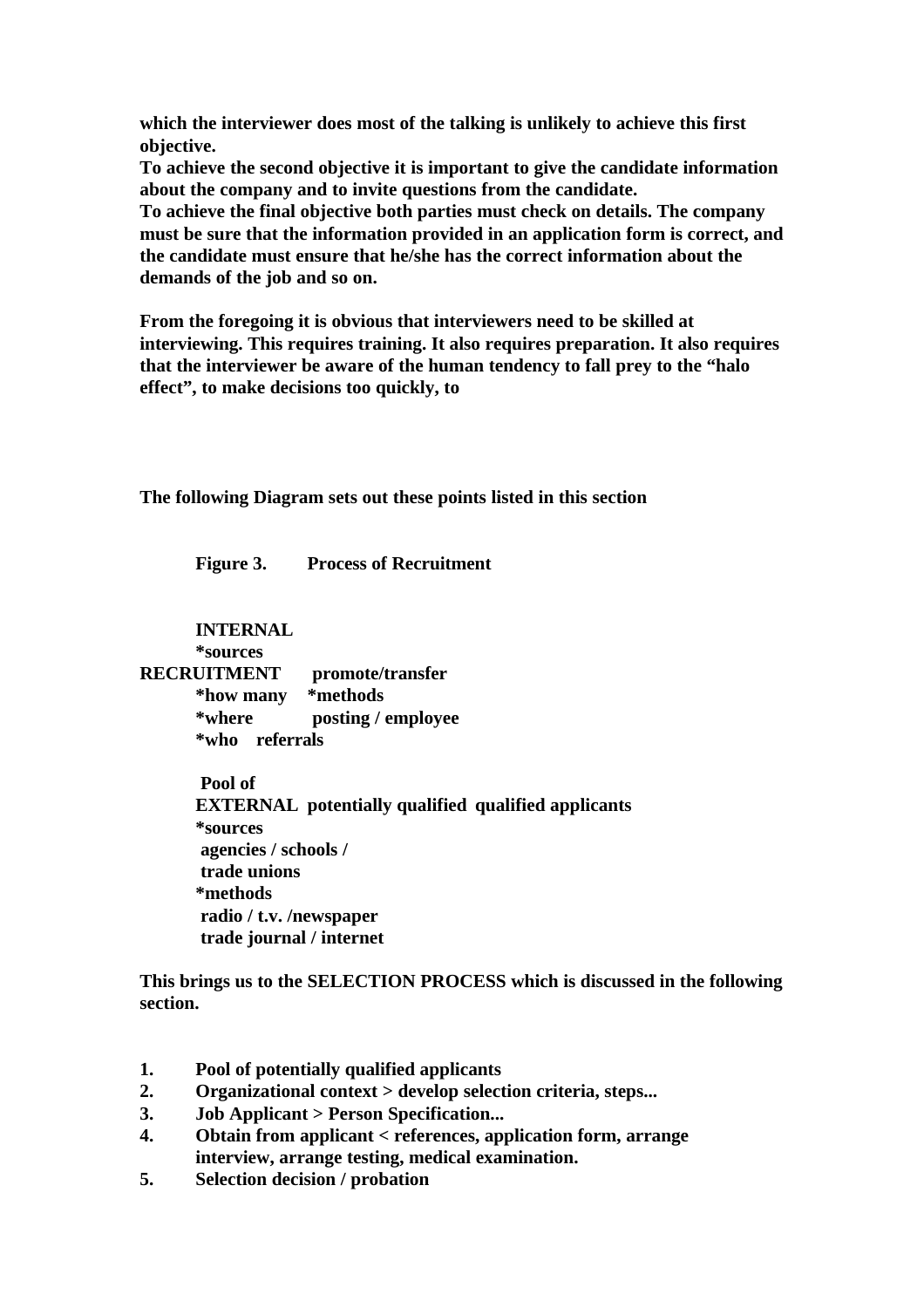**which the interviewer does most of the talking is unlikely to achieve this first objective.**

**To achieve the second objective it is important to give the candidate information about the company and to invite questions from the candidate.**

**To achieve the final objective both parties must check on details. The company must be sure that the information provided in an application form is correct, and the candidate must ensure that he/she has the correct information about the demands of the job and so on.**

**From the foregoing it is obvious that interviewers need to be skilled at interviewing. This requires training. It also requires preparation. It also requires that the interviewer be aware of the human tendency to fall prey to the "halo effect", to make decisions too quickly, to** 

**The following Diagram sets out these points listed in this section**

**Figure 3. Process of Recruitment**

**INTERNAL**

**\*sources**

**RECRUITMENT promote/transfer \*how many \*methods \*where posting / employee \*who referrals**

> **Pool of EXTERNAL potentially qualified qualified applicants \*sources agencies / schools / trade unions \*methods radio / t.v. /newspaper trade journal / internet**

**This brings us to the SELECTION PROCESS which is discussed in the following section.**

- **1. Pool of potentially qualified applicants**
- **2. Organizational context > develop selection criteria, steps...**
- **3. Job Applicant > Person Specification...**
- **4. Obtain from applicant < references, application form, arrange interview, arrange testing, medical examination.**
- **5. Selection decision / probation**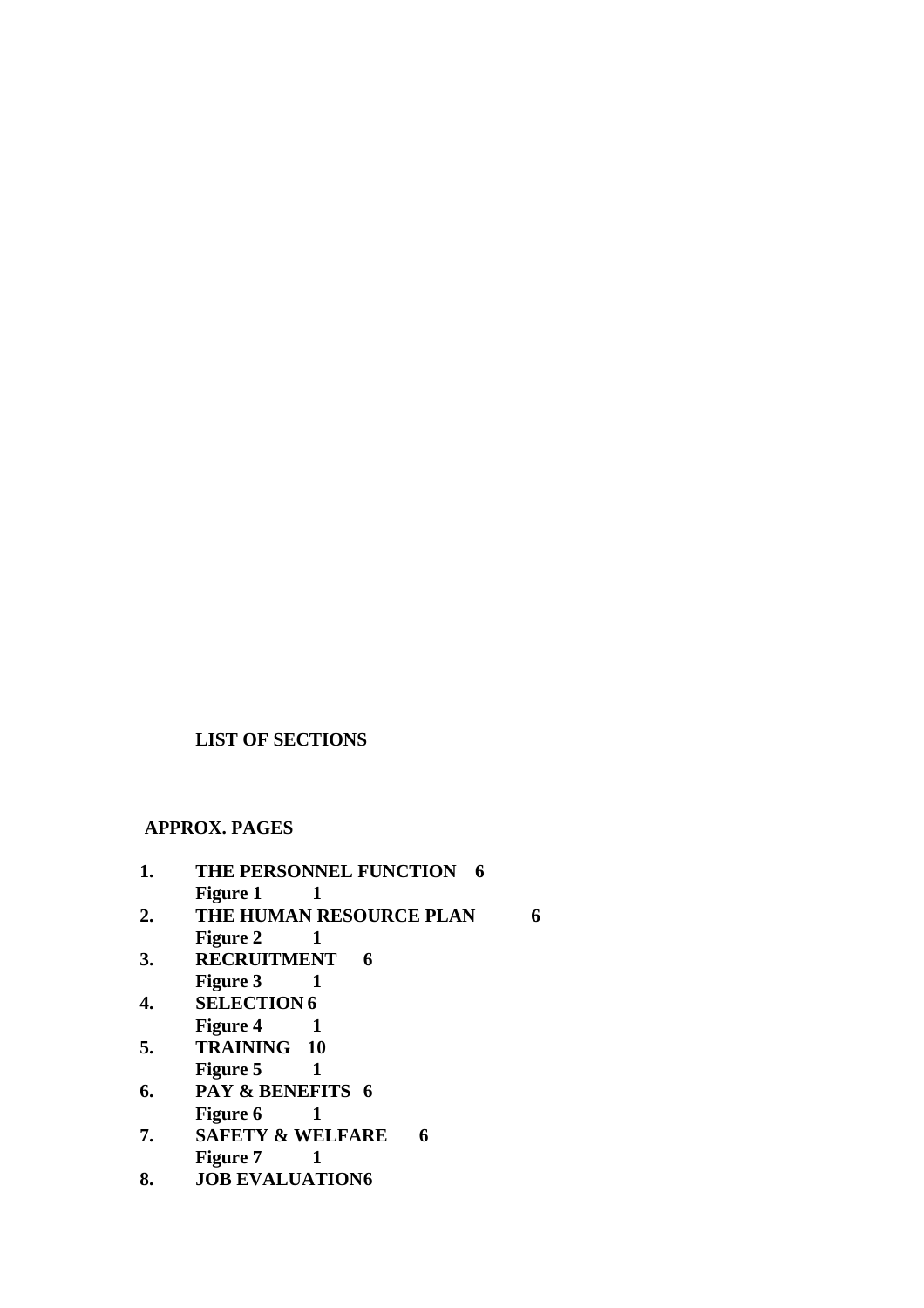# **LIST OF SECTIONS**

 **APPROX. PAGES**

| 1. | THE PERSONNEL FUNCTION 6    |  |
|----|-----------------------------|--|
|    | <b>Figure 1</b>             |  |
| 2. | THE HUMAN RESOURCE PLAN     |  |
|    | <b>Figure 2</b>             |  |
| 3. | <b>RECRUITMENT</b><br>6     |  |
|    | <b>Figure 3</b>             |  |
| 4. | <b>SELECTION 6</b>          |  |
|    | <b>Figure 4</b>             |  |
| 5. | TRAINING 10                 |  |
|    | <b>Figure 5</b>             |  |
| 6. | PAY & BENEFITS 6            |  |
|    | <b>Figure 6</b>             |  |
| 7. | <b>SAFETY &amp; WELFARE</b> |  |

- **Figure 7** 1
- **8. JOB EVALUATION6**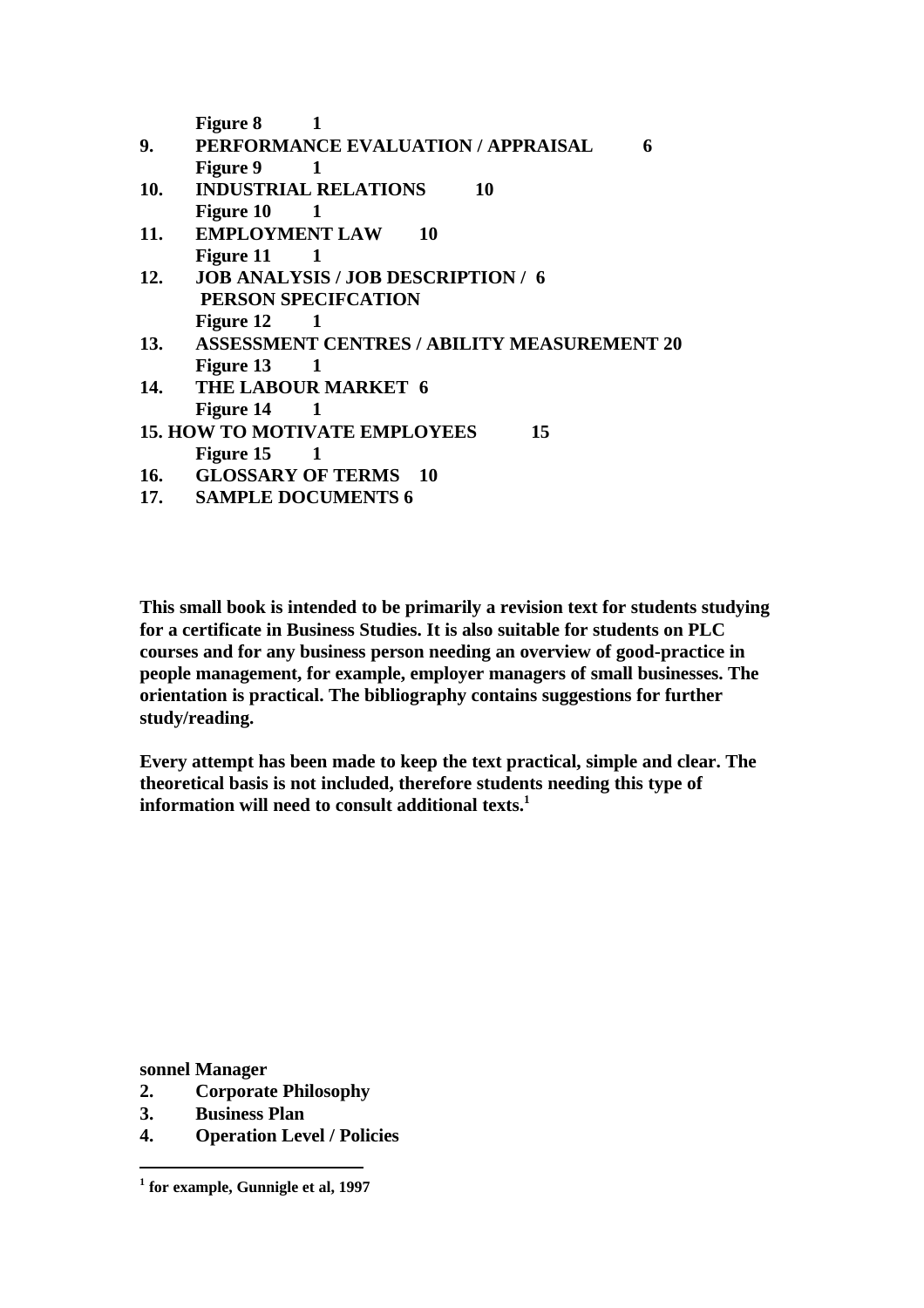|            | <b>Figure 8</b>                                            |
|------------|------------------------------------------------------------|
| 9.         | PERFORMANCE EVALUATION / APPRAISAL<br>6                    |
|            | <b>Figure 9</b><br>$\begin{array}{ccc} \hline \end{array}$ |
| 10.        | <b>INDUSTRIAL RELATIONS</b><br>10                          |
|            | Figure $10 \qquad 1$                                       |
| 11.        | <b>EMPLOYMENT LAW 10</b>                                   |
|            | Figure $11 \t 1$                                           |
| 12.        | <b>JOB ANALYSIS / JOB DESCRIPTION / 6</b>                  |
|            | PERSON SPECIFCATION                                        |
|            | Figure $12 \qquad 1$                                       |
| <b>13.</b> | <b>ASSESSMENT CENTRES / ABILITY MEASUREMENT 20</b>         |
|            | Figure $13 \t 1$                                           |
|            | 14. THE LABOUR MARKET 6                                    |
|            | Figure 14 1                                                |
|            | <b>15. HOW TO MOTIVATE EMPLOYEES</b><br>15                 |
|            | Figure $15 \qquad 1$                                       |
|            | 16. GLOSSARY OF TERMS 10                                   |
|            | 17. SAMPLE DOCUMENTS 6                                     |
|            |                                                            |

**This small book is intended to be primarily a revision text for students studying for a certificate in Business Studies. It is also suitable for students on PLC courses and for any business person needing an overview of good-practice in people management, for example, employer managers of small businesses. The orientation is practical. The bibliography contains suggestions for further study/reading.**

**Every attempt has been made to keep the text practical, simple and clear. The theoretical basis is not included, therefore students needing this type of information will need to consult additional texts.<sup>1</sup>**

**sonnel Manager**

- **2. Corporate Philosophy**
- **3. Business Plan**
- **4. Operation Level / Policies**

 **1 for example, Gunnigle et al, 1997**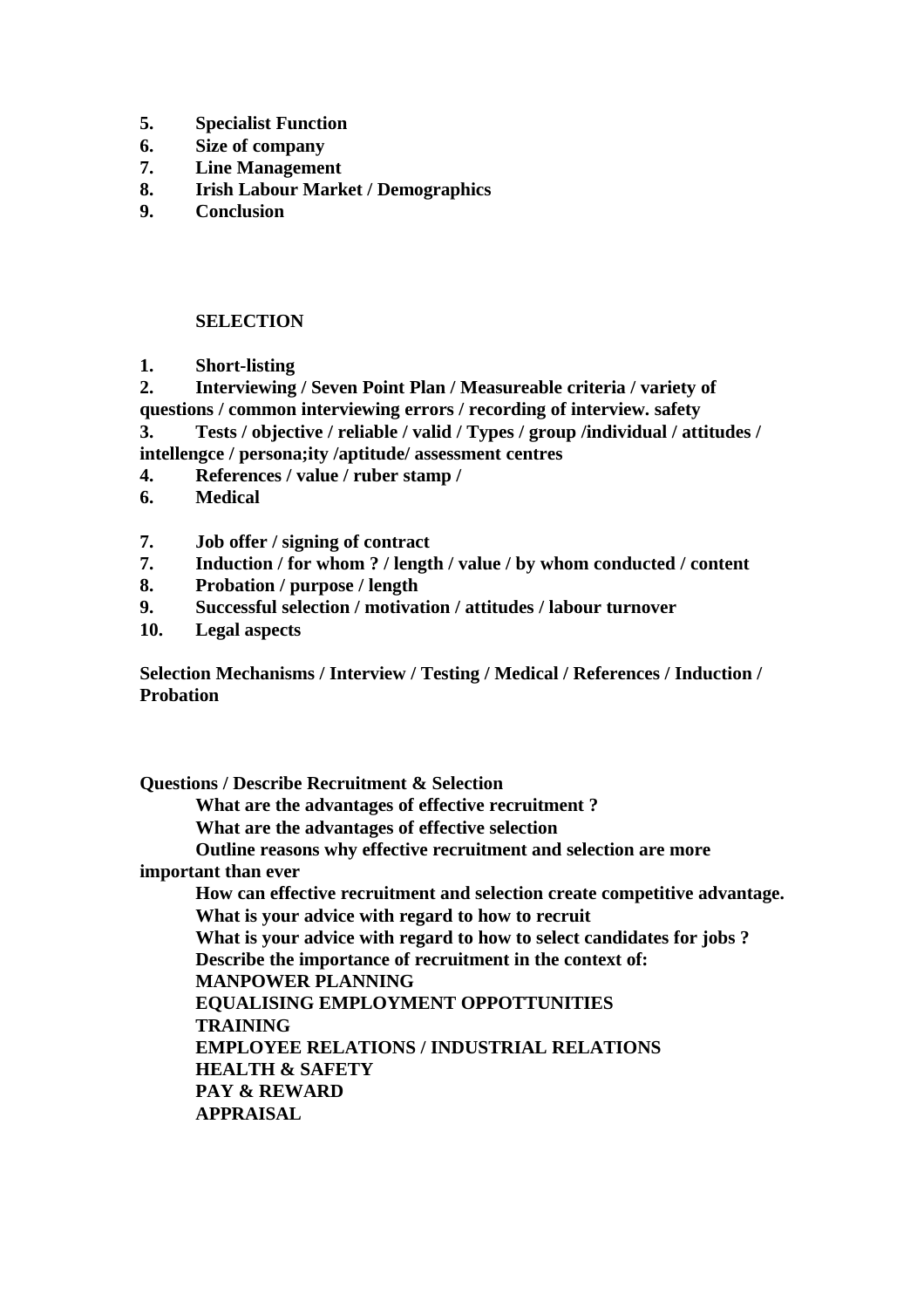- **5. Specialist Function**
- **6. Size of company**
- **7. Line Management**
- **8. Irish Labour Market / Demographics**
- **9. Conclusion**

## **SELECTION**

**1. Short-listing**

**2. Interviewing / Seven Point Plan / Measureable criteria / variety of questions / common interviewing errors / recording of interview. safety**

**3. Tests / objective / reliable / valid / Types / group /individual / attitudes / intellengce / persona;ity /aptitude/ assessment centres**

- **4. References / value / ruber stamp /**
- **6. Medical**
- **7. Job offer / signing of contract**
- **7. Induction / for whom ? / length / value / by whom conducted / content**
- **8. Probation / purpose / length**
- **9. Successful selection / motivation / attitudes / labour turnover**
- **10. Legal aspects**

**Selection Mechanisms / Interview / Testing / Medical / References / Induction / Probation**

**Questions / Describe Recruitment & Selection What are the advantages of effective recruitment ? What are the advantages of effective selection Outline reasons why effective recruitment and selection are more important than ever How can effective recruitment and selection create competitive advantage. What is your advice with regard to how to recruit What is your advice with regard to how to select candidates for jobs ? Describe the importance of recruitment in the context of: MANPOWER PLANNING EQUALISING EMPLOYMENT OPPOTTUNITIES TRAINING EMPLOYEE RELATIONS / INDUSTRIAL RELATIONS HEALTH & SAFETY PAY & REWARD APPRAISAL**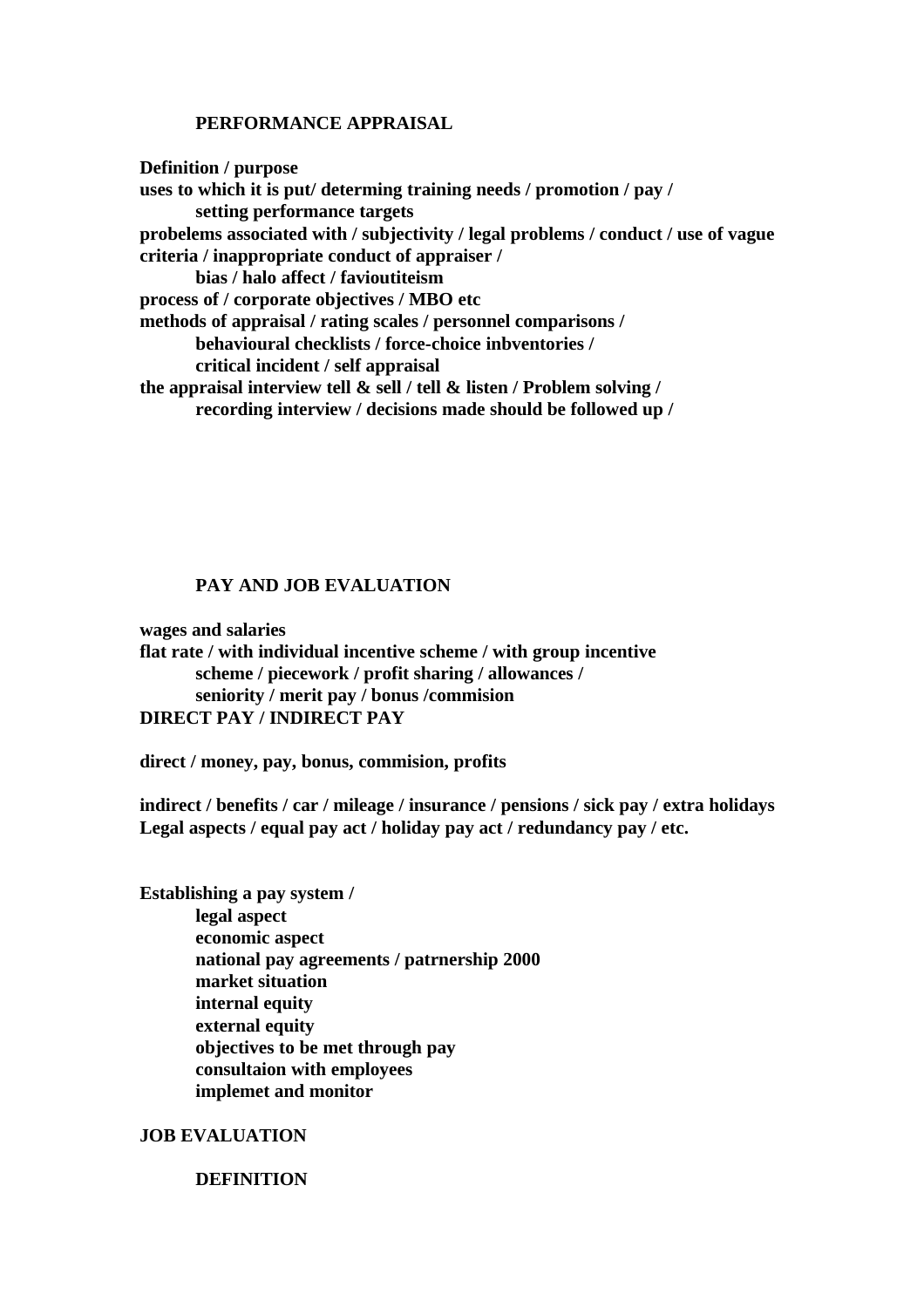### **PERFORMANCE APPRAISAL**

**Definition / purpose uses to which it is put/ determing training needs / promotion / pay / setting performance targets probelems associated with / subjectivity / legal problems / conduct / use of vague criteria / inappropriate conduct of appraiser / bias / halo affect / favioutiteism process of / corporate objectives / MBO etc methods of appraisal / rating scales / personnel comparisons / behavioural checklists / force-choice inbventories / critical incident / self appraisal the appraisal interview tell & sell / tell & listen / Problem solving / recording interview / decisions made should be followed up /** 

### **PAY AND JOB EVALUATION**

**wages and salaries flat rate / with individual incentive scheme / with group incentive scheme / piecework / profit sharing / allowances / seniority / merit pay / bonus /commision DIRECT PAY / INDIRECT PAY**

**direct / money, pay, bonus, commision, profits**

**indirect / benefits / car / mileage / insurance / pensions / sick pay / extra holidays Legal aspects / equal pay act / holiday pay act / redundancy pay / etc.**

**Establishing a pay system / legal aspect economic aspect national pay agreements / patrnership 2000 market situation internal equity external equity objectives to be met through pay consultaion with employees implemet and monitor**

## **JOB EVALUATION**

### **DEFINITION**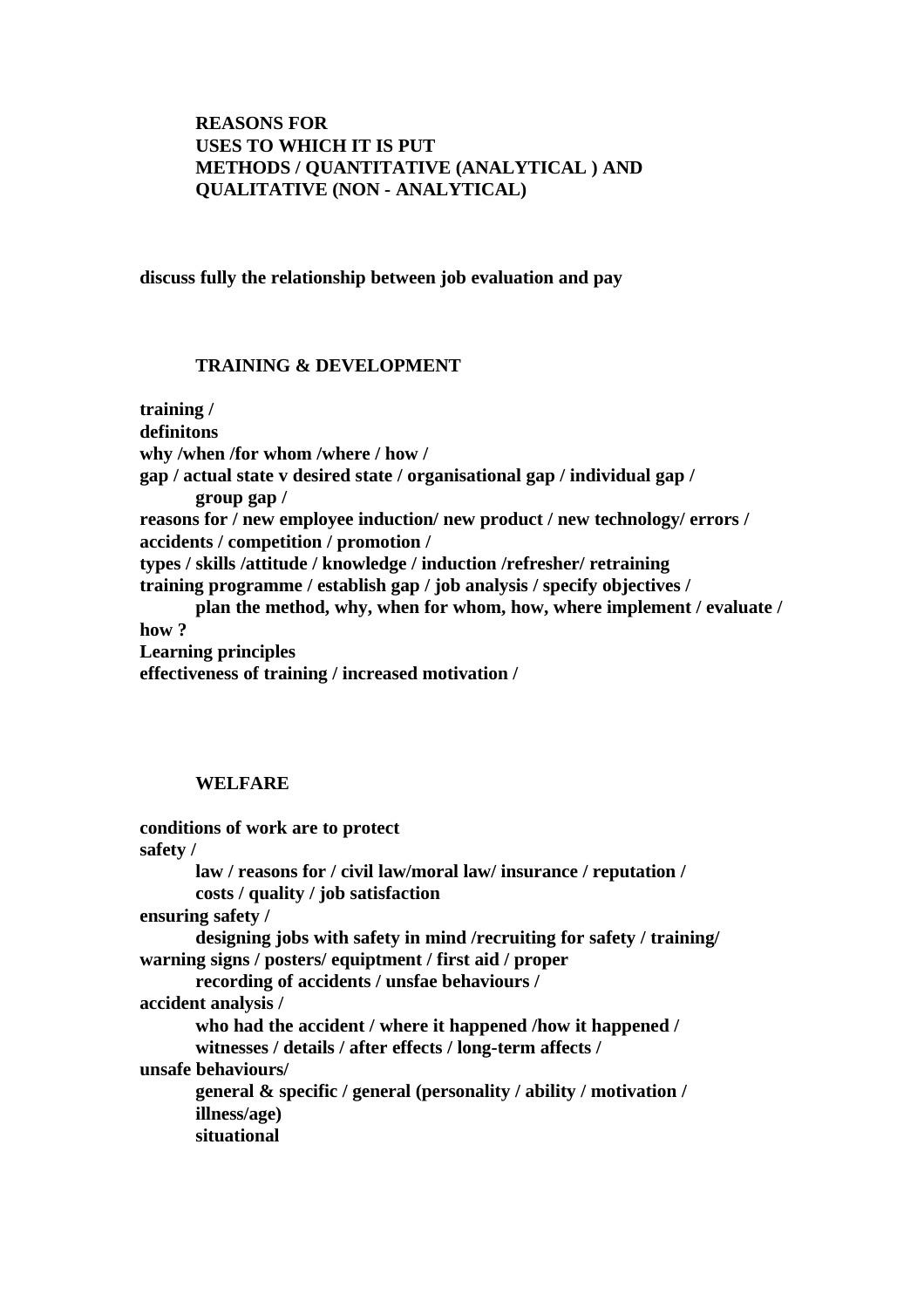# **REASONS FOR USES TO WHICH IT IS PUT METHODS / QUANTITATIVE (ANALYTICAL ) AND QUALITATIVE (NON - ANALYTICAL)**

## **discuss fully the relationship between job evaluation and pay**

## **TRAINING & DEVELOPMENT**

**training / definitons why /when /for whom /where / how / gap / actual state v desired state / organisational gap / individual gap / group gap / reasons for / new employee induction/ new product / new technology/ errors / accidents / competition / promotion / types / skills /attitude / knowledge / induction /refresher/ retraining training programme / establish gap / job analysis / specify objectives / plan the method, why, when for whom, how, where implement / evaluate / how ? Learning principles effectiveness of training / increased motivation /** 

## **WELFARE**

```
conditions of work are to protect
safety /
       law / reasons for / civil law/moral law/ insurance / reputation /
       costs / quality / job satisfaction
ensuring safety /
       designing jobs with safety in mind /recruiting for safety / training/ 
warning signs / posters/ equiptment / first aid / proper 
       recording of accidents / unsfae behaviours / 
accident analysis / 
       who had the accident / where it happened /how it happened / 
       witnesses / details / after effects / long-term affects /
unsafe behaviours/
       general & specific / general (personality / ability / motivation /
       illness/age)
       situational
```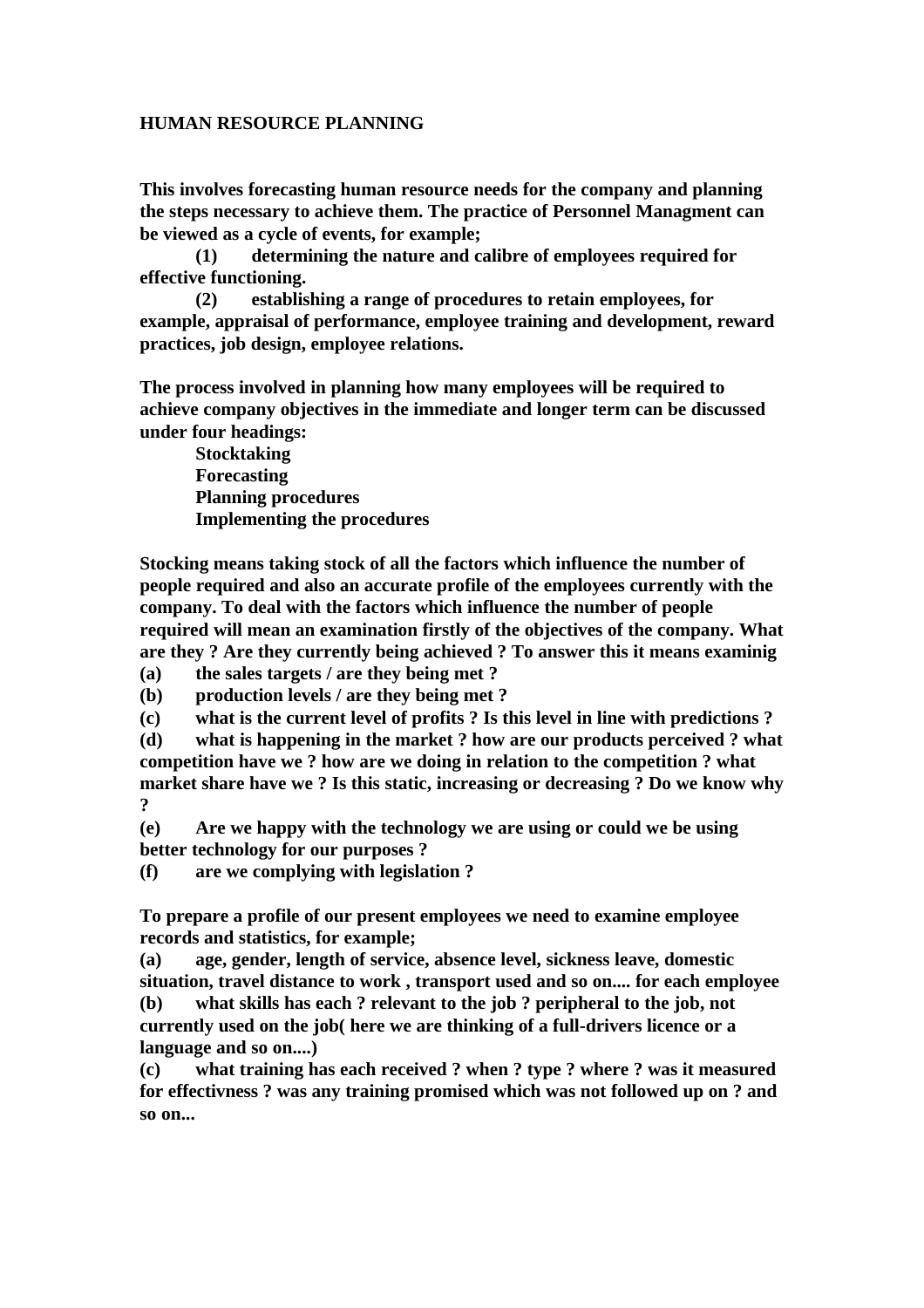## **HUMAN RESOURCE PLANNING**

**This involves forecasting human resource needs for the company and planning the steps necessary to achieve them. The practice of Personnel Managment can be viewed as a cycle of events, for example;**

**(1) determining the nature and calibre of employees required for effective functioning.**

**(2) establishing a range of procedures to retain employees, for example, appraisal of performance, employee training and development, reward practices, job design, employee relations.**

**The process involved in planning how many employees will be required to achieve company objectives in the immediate and longer term can be discussed under four headings:**

**Stocktaking Forecasting Planning procedures Implementing the procedures**

**Stocking means taking stock of all the factors which influence the number of people required and also an accurate profile of the employees currently with the company. To deal with the factors which influence the number of people required will mean an examination firstly of the objectives of the company. What are they ? Are they currently being achieved ? To answer this it means examinig** 

**(a) the sales targets / are they being met ?**

**(b) production levels / are they being met ?**

**(c) what is the current level of profits ? Is this level in line with predictions ?**

**(d) what is happening in the market ? how are our products perceived ? what competition have we ? how are we doing in relation to the competition ? what market share have we ? Is this static, increasing or decreasing ? Do we know why ?**

**(e) Are we happy with the technology we are using or could we be using better technology for our purposes ?**

**(f) are we complying with legislation ?**

**To prepare a profile of our present employees we need to examine employee records and statistics, for example;**

**(a) age, gender, length of service, absence level, sickness leave, domestic situation, travel distance to work , transport used and so on.... for each employee (b) what skills has each ? relevant to the job ? peripheral to the job, not currently used on the job( here we are thinking of a full-drivers licence or a language and so on....)**

**(c) what training has each received ? when ? type ? where ? was it measured for effectivness ? was any training promised which was not followed up on ? and so on...**